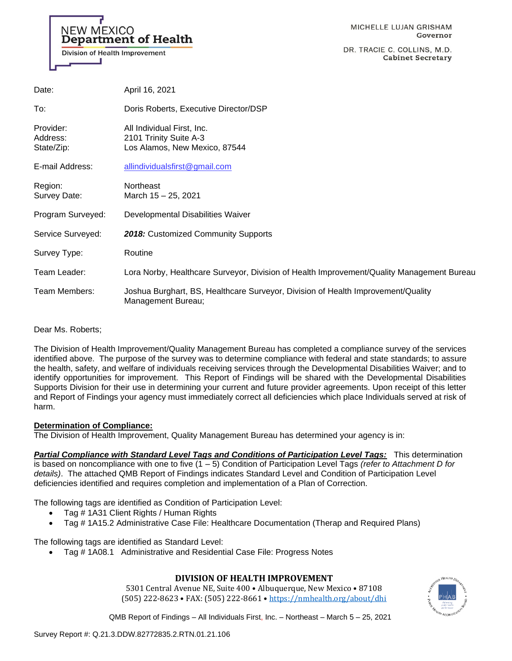# **NEW MEXICO Department of Health** Division of Health Improvement

DR. TRACIE C. COLLINS, M.D. **Cabinet Secretary** 

| Date:                               | April 16, 2021                                                                                         |
|-------------------------------------|--------------------------------------------------------------------------------------------------------|
| To:                                 | Doris Roberts, Executive Director/DSP                                                                  |
| Provider:<br>Address:<br>State/Zip: | All Individual First, Inc.<br>2101 Trinity Suite A-3<br>Los Alamos, New Mexico, 87544                  |
| E-mail Address:                     | allindividualsfirst@gmail.com                                                                          |
| Region:<br>Survey Date:             | <b>Northeast</b><br>March 15 - 25, 2021                                                                |
| Program Surveyed:                   | Developmental Disabilities Waiver                                                                      |
| Service Surveyed:                   | 2018: Customized Community Supports                                                                    |
| Survey Type:                        | Routine                                                                                                |
| Team Leader:                        | Lora Norby, Healthcare Surveyor, Division of Health Improvement/Quality Management Bureau              |
| Team Members:                       | Joshua Burghart, BS, Healthcare Surveyor, Division of Health Improvement/Quality<br>Management Bureau; |

Dear Ms. Roberts;

The Division of Health Improvement/Quality Management Bureau has completed a compliance survey of the services identified above. The purpose of the survey was to determine compliance with federal and state standards; to assure the health, safety, and welfare of individuals receiving services through the Developmental Disabilities Waiver; and to identify opportunities for improvement. This Report of Findings will be shared with the Developmental Disabilities Supports Division for their use in determining your current and future provider agreements. Upon receipt of this letter and Report of Findings your agency must immediately correct all deficiencies which place Individuals served at risk of harm.

#### **Determination of Compliance:**

The Division of Health Improvement, Quality Management Bureau has determined your agency is in:

*Partial Compliance with Standard Level Tags and Conditions of Participation Level Tags:* This determination is based on noncompliance with one to five (1 – 5) Condition of Participation Level Tags *(refer to Attachment D for details)*. The attached QMB Report of Findings indicates Standard Level and Condition of Participation Level deficiencies identified and requires completion and implementation of a Plan of Correction.

The following tags are identified as Condition of Participation Level:

- Tag # 1A31 Client Rights / Human Rights
- Tag # 1A15.2 Administrative Case File: Healthcare Documentation (Therap and Required Plans)

The following tags are identified as Standard Level:

• Tag # 1A08.1 Administrative and Residential Case File: Progress Notes

### **DIVISION OF HEALTH IMPROVEMENT**

5301 Central Avenue NE, Suite 400 • Albuquerque, New Mexico • 87108 (505) 222-8623 • FAX: (505) 222-8661 • <https://nmhealth.org/about/dhi>

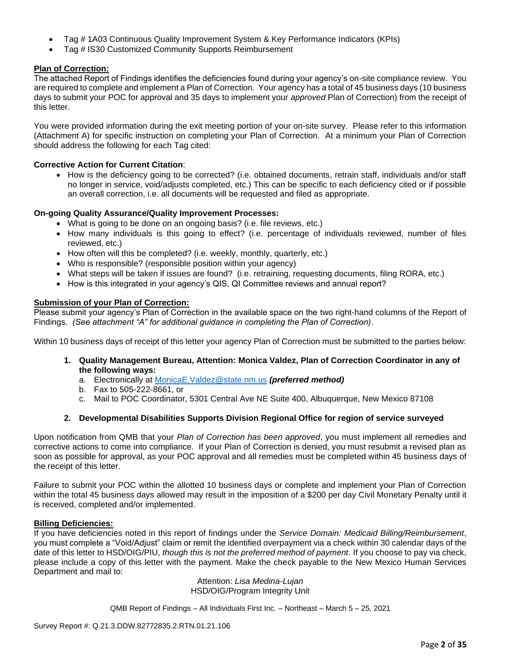- Tag # 1A03 Continuous Quality Improvement System & Key Performance Indicators (KPIs)
- Tag # IS30 Customized Community Supports Reimbursement

### **Plan of Correction:**

The attached Report of Findings identifies the deficiencies found during your agency's on-site compliance review. You are required to complete and implement a Plan of Correction. Your agency has a total of 45 business days (10 business days to submit your POC for approval and 35 days to implement your *approved* Plan of Correction) from the receipt of this letter.

You were provided information during the exit meeting portion of your on-site survey. Please refer to this information (Attachment A) for specific instruction on completing your Plan of Correction. At a minimum your Plan of Correction should address the following for each Tag cited:

### **Corrective Action for Current Citation**:

• How is the deficiency going to be corrected? (i.e. obtained documents, retrain staff, individuals and/or staff no longer in service, void/adjusts completed, etc.) This can be specific to each deficiency cited or if possible an overall correction, i.e. all documents will be requested and filed as appropriate.

### **On-going Quality Assurance/Quality Improvement Processes:**

- What is going to be done on an ongoing basis? (i.e. file reviews, etc.)
- How many individuals is this going to effect? (i.e. percentage of individuals reviewed, number of files reviewed, etc.)
- How often will this be completed? (i.e. weekly, monthly, quarterly, etc.)
- Who is responsible? (responsible position within your agency)
- What steps will be taken if issues are found? (i.e. retraining, requesting documents, filing RORA, etc.)
- How is this integrated in your agency's QIS, QI Committee reviews and annual report?

### **Submission of your Plan of Correction:**

Please submit your agency's Plan of Correction in the available space on the two right-hand columns of the Report of Findings. *(See attachment "A" for additional guidance in completing the Plan of Correction)*.

Within 10 business days of receipt of this letter your agency Plan of Correction must be submitted to the parties below:

- **1. Quality Management Bureau, Attention: Monica Valdez, Plan of Correction Coordinator in any of the following ways:**
	- a. Electronically at [MonicaE.Valdez@state.nm.us](mailto:MonicaE.Valdez@state.nm.us) *(preferred method)*
	- b. Fax to 505-222-8661, or
	- c. Mail to POC Coordinator, 5301 Central Ave NE Suite 400, Albuquerque, New Mexico 87108

### **2. Developmental Disabilities Supports Division Regional Office for region of service surveyed**

Upon notification from QMB that your *Plan of Correction has been approved*, you must implement all remedies and corrective actions to come into compliance. If your Plan of Correction is denied, you must resubmit a revised plan as soon as possible for approval, as your POC approval and all remedies must be completed within 45 business days of the receipt of this letter.

Failure to submit your POC within the allotted 10 business days or complete and implement your Plan of Correction within the total 45 business days allowed may result in the imposition of a \$200 per day Civil Monetary Penalty until it is received, completed and/or implemented.

#### **Billing Deficiencies:**

If you have deficiencies noted in this report of findings under the *Service Domain: Medicaid Billing/Reimbursement*, you must complete a "Void/Adjust" claim or remit the identified overpayment via a check within 30 calendar days of the date of this letter to HSD/OIG/PIU, *though this is not the preferred method of payment*. If you choose to pay via check, please include a copy of this letter with the payment. Make the check payable to the New Mexico Human Services Department and mail to:

Attention: *Lisa Medina-Lujan* HSD/OIG/Program Integrity Unit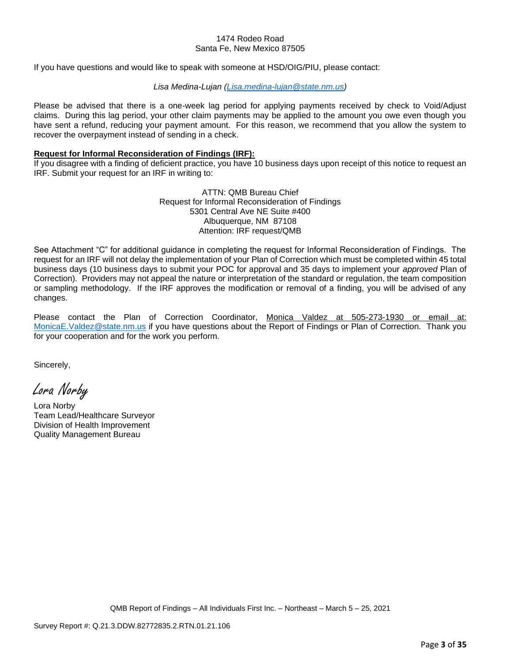#### 1474 Rodeo Road Santa Fe, New Mexico 87505

If you have questions and would like to speak with someone at HSD/OIG/PIU, please contact:

### *Lisa Medina-Lujan [\(Lisa.medina-lujan@state.nm.us\)](mailto:Lisa.medina-lujan@state.nm.us)*

Please be advised that there is a one-week lag period for applying payments received by check to Void/Adjust claims. During this lag period, your other claim payments may be applied to the amount you owe even though you have sent a refund, reducing your payment amount. For this reason, we recommend that you allow the system to recover the overpayment instead of sending in a check.

#### **Request for Informal Reconsideration of Findings (IRF):**

If you disagree with a finding of deficient practice, you have 10 business days upon receipt of this notice to request an IRF. Submit your request for an IRF in writing to:

> ATTN: QMB Bureau Chief Request for Informal Reconsideration of Findings 5301 Central Ave NE Suite #400 Albuquerque, NM 87108 Attention: IRF request/QMB

See Attachment "C" for additional guidance in completing the request for Informal Reconsideration of Findings. The request for an IRF will not delay the implementation of your Plan of Correction which must be completed within 45 total business days (10 business days to submit your POC for approval and 35 days to implement your *approved* Plan of Correction). Providers may not appeal the nature or interpretation of the standard or regulation, the team composition or sampling methodology. If the IRF approves the modification or removal of a finding, you will be advised of any changes.

Please contact the Plan of Correction Coordinator, Monica Valdez at 505-273-1930 or email at: [MonicaE.Valdez@state.nm.us](mailto:MonicaE.Valdez@state.nm.us) if you have questions about the Report of Findings or Plan of Correction. Thank you for your cooperation and for the work you perform.

Sincerely,

Lora Norby

Lora Norby Team Lead/Healthcare Surveyor Division of Health Improvement Quality Management Bureau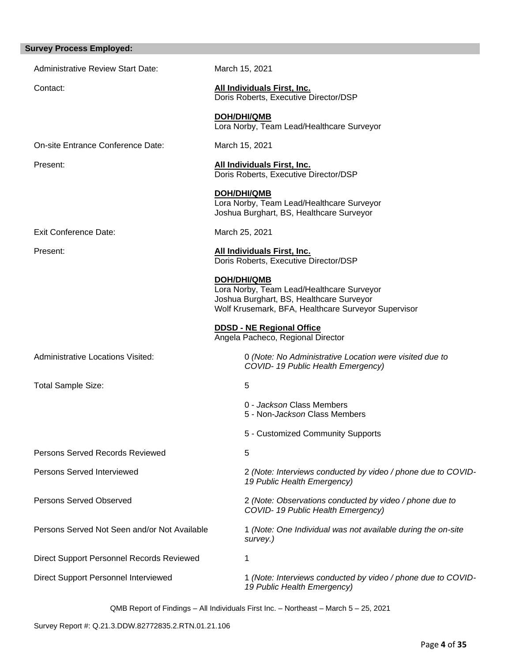## **Survey Process Employed:**

| <b>Administrative Review Start Date:</b>     | March 15, 2021                                                                                                                                                     |
|----------------------------------------------|--------------------------------------------------------------------------------------------------------------------------------------------------------------------|
| Contact:                                     | All Individuals First, Inc.<br>Doris Roberts, Executive Director/DSP                                                                                               |
|                                              | <b>DOH/DHI/QMB</b><br>Lora Norby, Team Lead/Healthcare Surveyor                                                                                                    |
| On-site Entrance Conference Date:            | March 15, 2021                                                                                                                                                     |
| Present:                                     | <b>All Individuals First, Inc.</b><br>Doris Roberts, Executive Director/DSP                                                                                        |
|                                              | DOH/DHI/QMB<br>Lora Norby, Team Lead/Healthcare Surveyor<br>Joshua Burghart, BS, Healthcare Surveyor                                                               |
| <b>Exit Conference Date:</b>                 | March 25, 2021                                                                                                                                                     |
| Present:                                     | <b>All Individuals First, Inc.</b><br>Doris Roberts, Executive Director/DSP                                                                                        |
|                                              | <b>DOH/DHI/QMB</b><br>Lora Norby, Team Lead/Healthcare Surveyor<br>Joshua Burghart, BS, Healthcare Surveyor<br>Wolf Krusemark, BFA, Healthcare Surveyor Supervisor |
|                                              | <b>DDSD - NE Regional Office</b><br>Angela Pacheco, Regional Director                                                                                              |
| <b>Administrative Locations Visited:</b>     | 0 (Note: No Administrative Location were visited due to<br>COVID-19 Public Health Emergency)                                                                       |
| <b>Total Sample Size:</b>                    | 5                                                                                                                                                                  |
|                                              | 0 - Jackson Class Members<br>5 - Non- <i>Jackson</i> Class Members                                                                                                 |
|                                              | 5 - Customized Community Supports                                                                                                                                  |
| Persons Served Records Reviewed              | 5                                                                                                                                                                  |
| Persons Served Interviewed                   | 2 (Note: Interviews conducted by video / phone due to COVID-<br>19 Public Health Emergency)                                                                        |
| Persons Served Observed                      | 2 (Note: Observations conducted by video / phone due to<br>COVID-19 Public Health Emergency)                                                                       |
| Persons Served Not Seen and/or Not Available | 1 (Note: One Individual was not available during the on-site<br>survey.)                                                                                           |
| Direct Support Personnel Records Reviewed    | 1                                                                                                                                                                  |
| Direct Support Personnel Interviewed         | 1 (Note: Interviews conducted by video / phone due to COVID-<br>19 Public Health Emergency)                                                                        |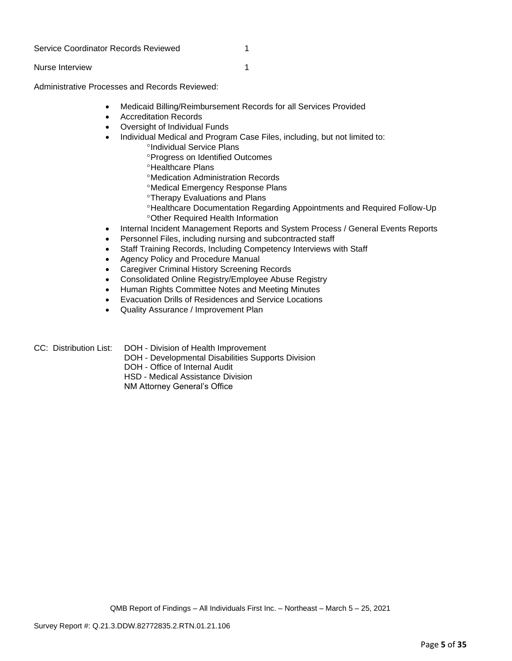#### Service Coordinator Records Reviewed 1

Nurse Interview 1

Administrative Processes and Records Reviewed:

- Medicaid Billing/Reimbursement Records for all Services Provided
- Accreditation Records
- Oversight of Individual Funds
- Individual Medical and Program Case Files, including, but not limited to:
	- <sup>o</sup>Individual Service Plans
	- Progress on Identified Outcomes
	- *•Healthcare Plans*
	- Medication Administration Records
	- Medical Emergency Response Plans
	- **<sup>o</sup>Therapy Evaluations and Plans**
	- Healthcare Documentation Regarding Appointments and Required Follow-Up Other Required Health Information
- Internal Incident Management Reports and System Process / General Events Reports
- Personnel Files, including nursing and subcontracted staff
- Staff Training Records, Including Competency Interviews with Staff
- Agency Policy and Procedure Manual
- Caregiver Criminal History Screening Records
- Consolidated Online Registry/Employee Abuse Registry
- Human Rights Committee Notes and Meeting Minutes
- Evacuation Drills of Residences and Service Locations
- Quality Assurance / Improvement Plan
- CC: Distribution List: DOH Division of Health Improvement
	- DOH Developmental Disabilities Supports Division
	- DOH Office of Internal Audit
	- HSD Medical Assistance Division

NM Attorney General's Office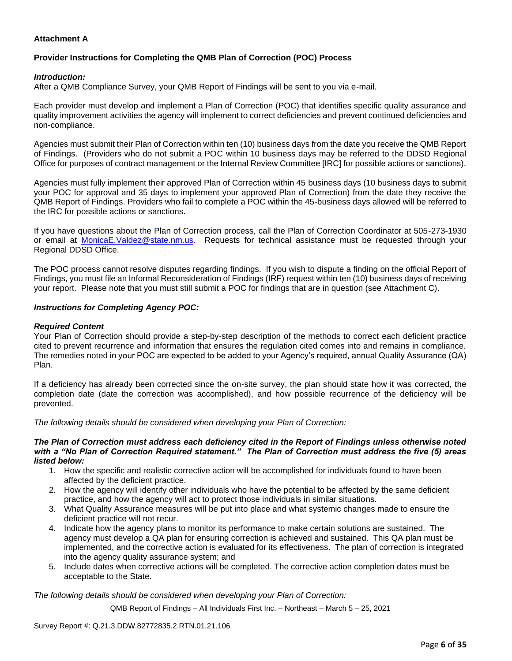### **Attachment A**

### **Provider Instructions for Completing the QMB Plan of Correction (POC) Process**

### *Introduction:*

After a QMB Compliance Survey, your QMB Report of Findings will be sent to you via e-mail.

Each provider must develop and implement a Plan of Correction (POC) that identifies specific quality assurance and quality improvement activities the agency will implement to correct deficiencies and prevent continued deficiencies and non-compliance.

Agencies must submit their Plan of Correction within ten (10) business days from the date you receive the QMB Report of Findings. (Providers who do not submit a POC within 10 business days may be referred to the DDSD Regional Office for purposes of contract management or the Internal Review Committee [IRC] for possible actions or sanctions).

Agencies must fully implement their approved Plan of Correction within 45 business days (10 business days to submit your POC for approval and 35 days to implement your approved Plan of Correction) from the date they receive the QMB Report of Findings. Providers who fail to complete a POC within the 45-business days allowed will be referred to the IRC for possible actions or sanctions.

If you have questions about the Plan of Correction process, call the Plan of Correction Coordinator at 505-273-1930 or email at [MonicaE.Valdez@state.nm.us.](mailto:MonicaE.Valdez@state.nm.us) Requests for technical assistance must be requested through your Regional DDSD Office.

The POC process cannot resolve disputes regarding findings. If you wish to dispute a finding on the official Report of Findings, you must file an Informal Reconsideration of Findings (IRF) request within ten (10) business days of receiving your report. Please note that you must still submit a POC for findings that are in question (see Attachment C).

#### *Instructions for Completing Agency POC:*

### *Required Content*

Your Plan of Correction should provide a step-by-step description of the methods to correct each deficient practice cited to prevent recurrence and information that ensures the regulation cited comes into and remains in compliance. The remedies noted in your POC are expected to be added to your Agency's required, annual Quality Assurance (QA) Plan.

If a deficiency has already been corrected since the on-site survey, the plan should state how it was corrected, the completion date (date the correction was accomplished), and how possible recurrence of the deficiency will be prevented.

*The following details should be considered when developing your Plan of Correction:*

#### *The Plan of Correction must address each deficiency cited in the Report of Findings unless otherwise noted with a "No Plan of Correction Required statement." The Plan of Correction must address the five (5) areas listed below:*

- 1. How the specific and realistic corrective action will be accomplished for individuals found to have been affected by the deficient practice.
- 2. How the agency will identify other individuals who have the potential to be affected by the same deficient practice, and how the agency will act to protect those individuals in similar situations.
- 3. What Quality Assurance measures will be put into place and what systemic changes made to ensure the deficient practice will not recur.
- 4. Indicate how the agency plans to monitor its performance to make certain solutions are sustained. The agency must develop a QA plan for ensuring correction is achieved and sustained. This QA plan must be implemented, and the corrective action is evaluated for its effectiveness. The plan of correction is integrated into the agency quality assurance system; and
- 5. Include dates when corrective actions will be completed. The corrective action completion dates must be acceptable to the State.

*The following details should be considered when developing your Plan of Correction:*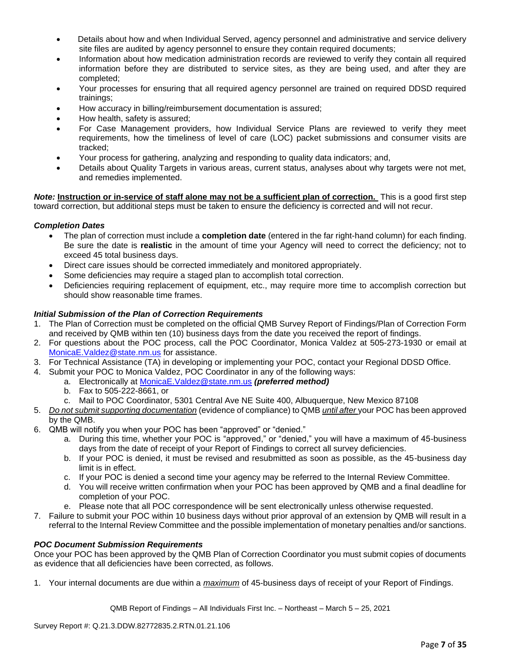- Details about how and when Individual Served, agency personnel and administrative and service delivery site files are audited by agency personnel to ensure they contain required documents;
- Information about how medication administration records are reviewed to verify they contain all required information before they are distributed to service sites, as they are being used, and after they are completed;
- Your processes for ensuring that all required agency personnel are trained on required DDSD required trainings;
- How accuracy in billing/reimbursement documentation is assured;
- How health, safety is assured;
- For Case Management providers, how Individual Service Plans are reviewed to verify they meet requirements, how the timeliness of level of care (LOC) packet submissions and consumer visits are tracked;
- Your process for gathering, analyzing and responding to quality data indicators; and,
- Details about Quality Targets in various areas, current status, analyses about why targets were not met, and remedies implemented.

*Note:* **Instruction or in-service of staff alone may not be a sufficient plan of correction.** This is a good first step toward correction, but additional steps must be taken to ensure the deficiency is corrected and will not recur.

### *Completion Dates*

- The plan of correction must include a **completion date** (entered in the far right-hand column) for each finding. Be sure the date is **realistic** in the amount of time your Agency will need to correct the deficiency; not to exceed 45 total business days.
- Direct care issues should be corrected immediately and monitored appropriately.
- Some deficiencies may require a staged plan to accomplish total correction.
- Deficiencies requiring replacement of equipment, etc., may require more time to accomplish correction but should show reasonable time frames.

### *Initial Submission of the Plan of Correction Requirements*

- 1. The Plan of Correction must be completed on the official QMB Survey Report of Findings/Plan of Correction Form and received by QMB within ten (10) business days from the date you received the report of findings.
- 2. For questions about the POC process, call the POC Coordinator, Monica Valdez at 505-273-1930 or email at [MonicaE.Valdez@state.nm.us](mailto:MonicaE.Valdez@state.nm.us) for assistance.
- 3. For Technical Assistance (TA) in developing or implementing your POC, contact your Regional DDSD Office.
- 4. Submit your POC to Monica Valdez, POC Coordinator in any of the following ways:
	- a. Electronically at [MonicaE.Valdez@state.nm.us](mailto:MonicaE.Valdez@state.nm.us) *(preferred method)*
		- b. Fax to 505-222-8661, or
		- c. Mail to POC Coordinator, 5301 Central Ave NE Suite 400, Albuquerque, New Mexico 87108
- 5. *Do not submit supporting documentation* (evidence of compliance) to QMB *until after* your POC has been approved by the QMB.
- 6. QMB will notify you when your POC has been "approved" or "denied."
	- a. During this time, whether your POC is "approved," or "denied," you will have a maximum of 45-business days from the date of receipt of your Report of Findings to correct all survey deficiencies.
	- b. If your POC is denied, it must be revised and resubmitted as soon as possible, as the 45-business day limit is in effect.
	- c. If your POC is denied a second time your agency may be referred to the Internal Review Committee.
	- d. You will receive written confirmation when your POC has been approved by QMB and a final deadline for completion of your POC.
	- e. Please note that all POC correspondence will be sent electronically unless otherwise requested.
- 7. Failure to submit your POC within 10 business days without prior approval of an extension by QMB will result in a referral to the Internal Review Committee and the possible implementation of monetary penalties and/or sanctions.

#### *POC Document Submission Requirements*

Once your POC has been approved by the QMB Plan of Correction Coordinator you must submit copies of documents as evidence that all deficiencies have been corrected, as follows.

1. Your internal documents are due within a *maximum* of 45-business days of receipt of your Report of Findings.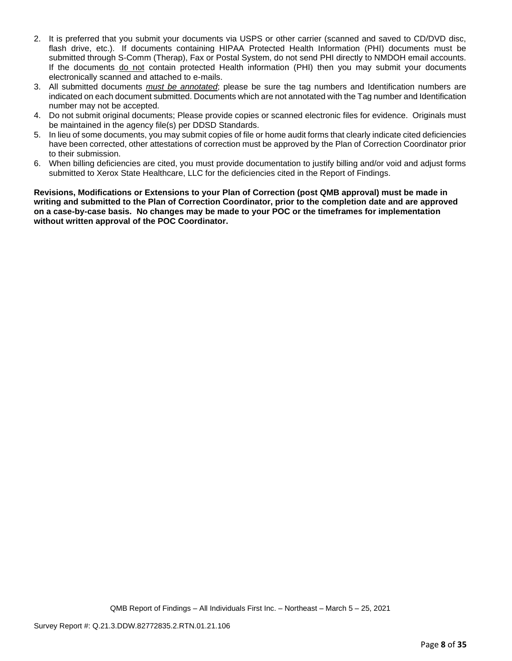- 2. It is preferred that you submit your documents via USPS or other carrier (scanned and saved to CD/DVD disc, flash drive, etc.). If documents containing HIPAA Protected Health Information (PHI) documents must be submitted through S-Comm (Therap), Fax or Postal System, do not send PHI directly to NMDOH email accounts. If the documents do not contain protected Health information (PHI) then you may submit your documents electronically scanned and attached to e-mails.
- 3. All submitted documents *must be annotated*; please be sure the tag numbers and Identification numbers are indicated on each document submitted. Documents which are not annotated with the Tag number and Identification number may not be accepted.
- 4. Do not submit original documents; Please provide copies or scanned electronic files for evidence. Originals must be maintained in the agency file(s) per DDSD Standards.
- 5. In lieu of some documents, you may submit copies of file or home audit forms that clearly indicate cited deficiencies have been corrected, other attestations of correction must be approved by the Plan of Correction Coordinator prior to their submission.
- 6. When billing deficiencies are cited, you must provide documentation to justify billing and/or void and adjust forms submitted to Xerox State Healthcare, LLC for the deficiencies cited in the Report of Findings.

**Revisions, Modifications or Extensions to your Plan of Correction (post QMB approval) must be made in writing and submitted to the Plan of Correction Coordinator, prior to the completion date and are approved on a case-by-case basis. No changes may be made to your POC or the timeframes for implementation without written approval of the POC Coordinator.**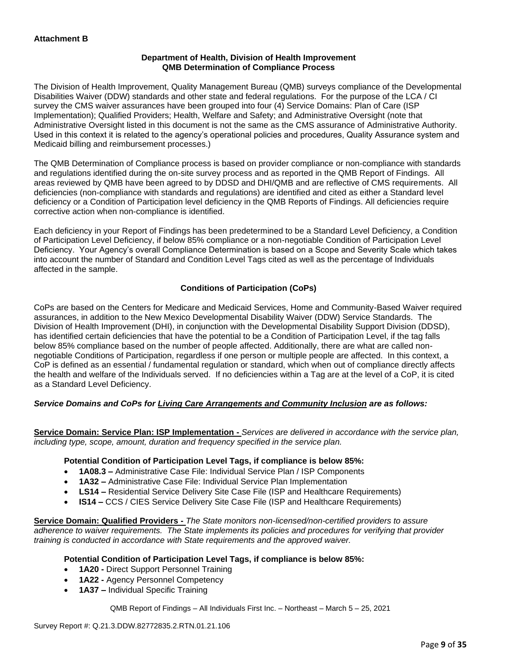### **Department of Health, Division of Health Improvement QMB Determination of Compliance Process**

The Division of Health Improvement, Quality Management Bureau (QMB) surveys compliance of the Developmental Disabilities Waiver (DDW) standards and other state and federal regulations. For the purpose of the LCA / CI survey the CMS waiver assurances have been grouped into four (4) Service Domains: Plan of Care (ISP Implementation); Qualified Providers; Health, Welfare and Safety; and Administrative Oversight (note that Administrative Oversight listed in this document is not the same as the CMS assurance of Administrative Authority. Used in this context it is related to the agency's operational policies and procedures, Quality Assurance system and Medicaid billing and reimbursement processes.)

The QMB Determination of Compliance process is based on provider compliance or non-compliance with standards and regulations identified during the on-site survey process and as reported in the QMB Report of Findings. All areas reviewed by QMB have been agreed to by DDSD and DHI/QMB and are reflective of CMS requirements. All deficiencies (non-compliance with standards and regulations) are identified and cited as either a Standard level deficiency or a Condition of Participation level deficiency in the QMB Reports of Findings. All deficiencies require corrective action when non-compliance is identified.

Each deficiency in your Report of Findings has been predetermined to be a Standard Level Deficiency, a Condition of Participation Level Deficiency, if below 85% compliance or a non-negotiable Condition of Participation Level Deficiency. Your Agency's overall Compliance Determination is based on a Scope and Severity Scale which takes into account the number of Standard and Condition Level Tags cited as well as the percentage of Individuals affected in the sample.

### **Conditions of Participation (CoPs)**

CoPs are based on the Centers for Medicare and Medicaid Services, Home and Community-Based Waiver required assurances, in addition to the New Mexico Developmental Disability Waiver (DDW) Service Standards. The Division of Health Improvement (DHI), in conjunction with the Developmental Disability Support Division (DDSD), has identified certain deficiencies that have the potential to be a Condition of Participation Level, if the tag falls below 85% compliance based on the number of people affected. Additionally, there are what are called nonnegotiable Conditions of Participation, regardless if one person or multiple people are affected. In this context, a CoP is defined as an essential / fundamental regulation or standard, which when out of compliance directly affects the health and welfare of the Individuals served. If no deficiencies within a Tag are at the level of a CoP, it is cited as a Standard Level Deficiency.

### *Service Domains and CoPs for Living Care Arrangements and Community Inclusion are as follows:*

**Service Domain: Service Plan: ISP Implementation -** *Services are delivered in accordance with the service plan, including type, scope, amount, duration and frequency specified in the service plan.*

#### **Potential Condition of Participation Level Tags, if compliance is below 85%:**

- **1A08.3 –** Administrative Case File: Individual Service Plan / ISP Components
- **1A32 –** Administrative Case File: Individual Service Plan Implementation
- **LS14 –** Residential Service Delivery Site Case File (ISP and Healthcare Requirements)
- **IS14 –** CCS / CIES Service Delivery Site Case File (ISP and Healthcare Requirements)

**Service Domain: Qualified Providers -** *The State monitors non-licensed/non-certified providers to assure adherence to waiver requirements. The State implements its policies and procedures for verifying that provider training is conducted in accordance with State requirements and the approved waiver.*

#### **Potential Condition of Participation Level Tags, if compliance is below 85%:**

- **1A20 -** Direct Support Personnel Training
- **1A22 -** Agency Personnel Competency
- **1A37 –** Individual Specific Training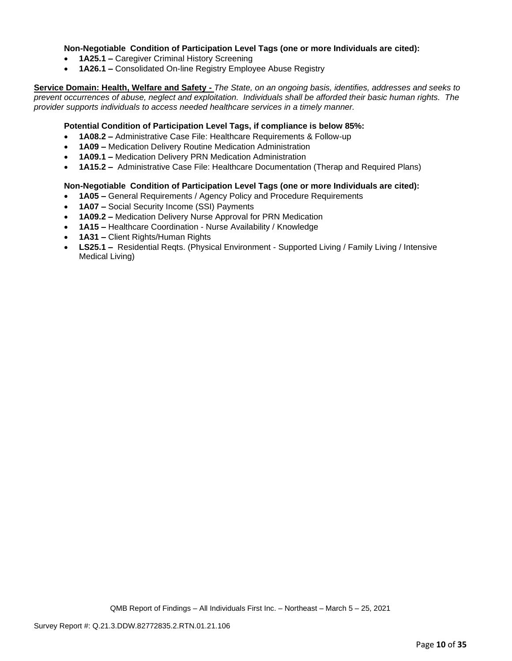### **Non-Negotiable Condition of Participation Level Tags (one or more Individuals are cited):**

- **1A25.1 –** Caregiver Criminal History Screening
- **1A26.1 –** Consolidated On-line Registry Employee Abuse Registry

**Service Domain: Health, Welfare and Safety -** *The State, on an ongoing basis, identifies, addresses and seeks to prevent occurrences of abuse, neglect and exploitation. Individuals shall be afforded their basic human rights. The provider supports individuals to access needed healthcare services in a timely manner.*

### **Potential Condition of Participation Level Tags, if compliance is below 85%:**

- **1A08.2 –** Administrative Case File: Healthcare Requirements & Follow-up
- **1A09 –** Medication Delivery Routine Medication Administration
- **1A09.1 –** Medication Delivery PRN Medication Administration
- **1A15.2 –** Administrative Case File: Healthcare Documentation (Therap and Required Plans)

#### **Non-Negotiable Condition of Participation Level Tags (one or more Individuals are cited):**

- **1A05 –** General Requirements / Agency Policy and Procedure Requirements
- **1A07 –** Social Security Income (SSI) Payments
- **1A09.2 –** Medication Delivery Nurse Approval for PRN Medication
- **1A15 –** Healthcare Coordination Nurse Availability / Knowledge
- **1A31 –** Client Rights/Human Rights
- **LS25.1 –** Residential Reqts. (Physical Environment Supported Living / Family Living / Intensive Medical Living)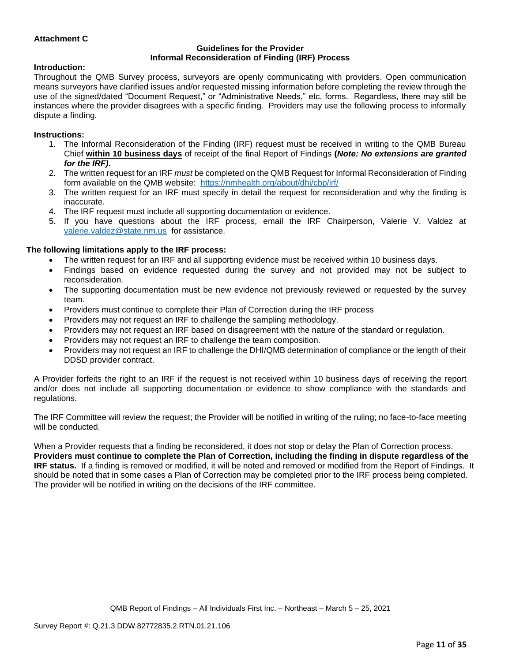### **Attachment C**

#### **Guidelines for the Provider Informal Reconsideration of Finding (IRF) Process**

#### **Introduction:**

Throughout the QMB Survey process, surveyors are openly communicating with providers. Open communication means surveyors have clarified issues and/or requested missing information before completing the review through the use of the signed/dated "Document Request," or "Administrative Needs," etc. forms. Regardless, there may still be instances where the provider disagrees with a specific finding. Providers may use the following process to informally dispute a finding.

#### **Instructions:**

- 1. The Informal Reconsideration of the Finding (IRF) request must be received in writing to the QMB Bureau Chief **within 10 business days** of receipt of the final Report of Findings **(***Note: No extensions are granted for the IRF)***.**
- 2. The written request for an IRF *must* be completed on the QMB Request for Informal Reconsideration of Finding form available on the QMB website: <https://nmhealth.org/about/dhi/cbp/irf/>
- 3. The written request for an IRF must specify in detail the request for reconsideration and why the finding is inaccurate.
- 4. The IRF request must include all supporting documentation or evidence.
- 5. If you have questions about the IRF process, email the IRF Chairperson, Valerie V. Valdez at [valerie.valdez@state.nm.us](mailto:valerie.valdez@state.nm.us) for assistance.

#### **The following limitations apply to the IRF process:**

- The written request for an IRF and all supporting evidence must be received within 10 business days.
- Findings based on evidence requested during the survey and not provided may not be subject to reconsideration.
- The supporting documentation must be new evidence not previously reviewed or requested by the survey team.
- Providers must continue to complete their Plan of Correction during the IRF process
- Providers may not request an IRF to challenge the sampling methodology.
- Providers may not request an IRF based on disagreement with the nature of the standard or regulation.
- Providers may not request an IRF to challenge the team composition.
- Providers may not request an IRF to challenge the DHI/QMB determination of compliance or the length of their DDSD provider contract.

A Provider forfeits the right to an IRF if the request is not received within 10 business days of receiving the report and/or does not include all supporting documentation or evidence to show compliance with the standards and regulations.

The IRF Committee will review the request; the Provider will be notified in writing of the ruling; no face-to-face meeting will be conducted.

When a Provider requests that a finding be reconsidered, it does not stop or delay the Plan of Correction process. **Providers must continue to complete the Plan of Correction, including the finding in dispute regardless of the IRF status.** If a finding is removed or modified, it will be noted and removed or modified from the Report of Findings. It should be noted that in some cases a Plan of Correction may be completed prior to the IRF process being completed. The provider will be notified in writing on the decisions of the IRF committee.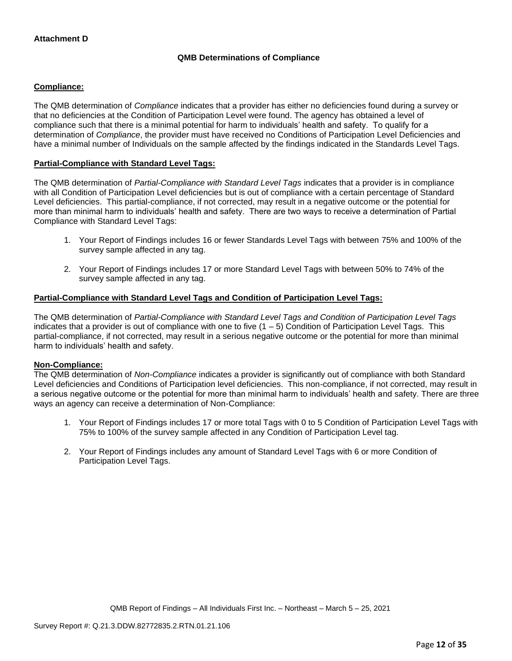### **QMB Determinations of Compliance**

### **Compliance:**

The QMB determination of *Compliance* indicates that a provider has either no deficiencies found during a survey or that no deficiencies at the Condition of Participation Level were found. The agency has obtained a level of compliance such that there is a minimal potential for harm to individuals' health and safety. To qualify for a determination of *Compliance*, the provider must have received no Conditions of Participation Level Deficiencies and have a minimal number of Individuals on the sample affected by the findings indicated in the Standards Level Tags.

### **Partial-Compliance with Standard Level Tags:**

The QMB determination of *Partial-Compliance with Standard Level Tags* indicates that a provider is in compliance with all Condition of Participation Level deficiencies but is out of compliance with a certain percentage of Standard Level deficiencies. This partial-compliance, if not corrected, may result in a negative outcome or the potential for more than minimal harm to individuals' health and safety. There are two ways to receive a determination of Partial Compliance with Standard Level Tags:

- 1. Your Report of Findings includes 16 or fewer Standards Level Tags with between 75% and 100% of the survey sample affected in any tag.
- 2. Your Report of Findings includes 17 or more Standard Level Tags with between 50% to 74% of the survey sample affected in any tag.

### **Partial-Compliance with Standard Level Tags and Condition of Participation Level Tags:**

The QMB determination of *Partial-Compliance with Standard Level Tags and Condition of Participation Level Tags*  indicates that a provider is out of compliance with one to five (1 – 5) Condition of Participation Level Tags. This partial-compliance, if not corrected, may result in a serious negative outcome or the potential for more than minimal harm to individuals' health and safety.

#### **Non-Compliance:**

The QMB determination of *Non-Compliance* indicates a provider is significantly out of compliance with both Standard Level deficiencies and Conditions of Participation level deficiencies. This non-compliance, if not corrected, may result in a serious negative outcome or the potential for more than minimal harm to individuals' health and safety. There are three ways an agency can receive a determination of Non-Compliance:

- 1. Your Report of Findings includes 17 or more total Tags with 0 to 5 Condition of Participation Level Tags with 75% to 100% of the survey sample affected in any Condition of Participation Level tag.
- 2. Your Report of Findings includes any amount of Standard Level Tags with 6 or more Condition of Participation Level Tags.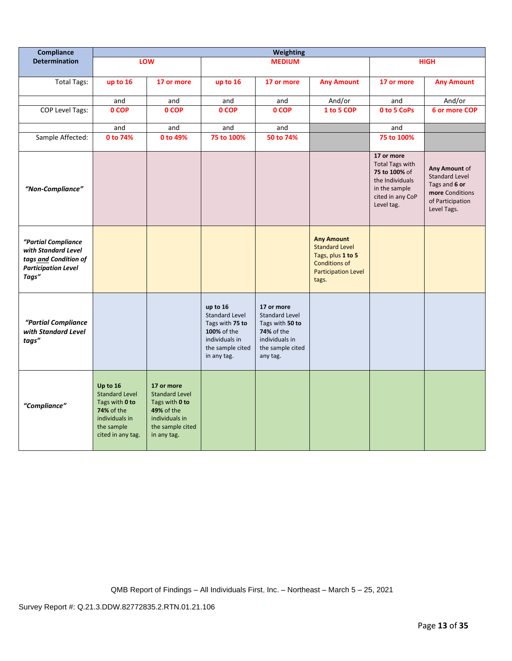| <b>Compliance</b>                                                                                          | Weighting                                                                                                                     |                                                                                                                          |                                                                                                                          |                                                                                                                               |                                                                                                                                |                                                                                                                             |                                                                                                               |
|------------------------------------------------------------------------------------------------------------|-------------------------------------------------------------------------------------------------------------------------------|--------------------------------------------------------------------------------------------------------------------------|--------------------------------------------------------------------------------------------------------------------------|-------------------------------------------------------------------------------------------------------------------------------|--------------------------------------------------------------------------------------------------------------------------------|-----------------------------------------------------------------------------------------------------------------------------|---------------------------------------------------------------------------------------------------------------|
| <b>Determination</b>                                                                                       |                                                                                                                               | LOW                                                                                                                      |                                                                                                                          | <b>MEDIUM</b>                                                                                                                 |                                                                                                                                |                                                                                                                             | <b>HIGH</b>                                                                                                   |
| <b>Total Tags:</b>                                                                                         | up to 16                                                                                                                      | 17 or more                                                                                                               | up to 16                                                                                                                 | 17 or more                                                                                                                    | <b>Any Amount</b>                                                                                                              | 17 or more                                                                                                                  | <b>Any Amount</b>                                                                                             |
|                                                                                                            | and                                                                                                                           | and                                                                                                                      | and                                                                                                                      | and                                                                                                                           | And/or                                                                                                                         | and                                                                                                                         | And/or                                                                                                        |
| <b>COP Level Tags:</b>                                                                                     | 0 COP                                                                                                                         | 0 COP                                                                                                                    | 0 COP                                                                                                                    | 0 COP                                                                                                                         | 1 to 5 COP                                                                                                                     | 0 to 5 CoPs                                                                                                                 | 6 or more COP                                                                                                 |
|                                                                                                            | and                                                                                                                           | and                                                                                                                      | and                                                                                                                      | and                                                                                                                           |                                                                                                                                | and                                                                                                                         |                                                                                                               |
| Sample Affected:                                                                                           | 0 to 74%                                                                                                                      | 0 to 49%                                                                                                                 | 75 to 100%                                                                                                               | 50 to 74%                                                                                                                     |                                                                                                                                | 75 to 100%                                                                                                                  |                                                                                                               |
| "Non-Compliance"                                                                                           |                                                                                                                               |                                                                                                                          |                                                                                                                          |                                                                                                                               |                                                                                                                                | 17 or more<br><b>Total Tags with</b><br>75 to 100% of<br>the Individuals<br>in the sample<br>cited in any CoP<br>Level tag. | Any Amount of<br><b>Standard Level</b><br>Tags and 6 or<br>more Conditions<br>of Participation<br>Level Tags. |
| "Partial Compliance<br>with Standard Level<br>tags and Condition of<br><b>Participation Level</b><br>Tags" |                                                                                                                               |                                                                                                                          |                                                                                                                          |                                                                                                                               | <b>Any Amount</b><br><b>Standard Level</b><br>Tags, plus 1 to 5<br><b>Conditions of</b><br><b>Participation Level</b><br>tags. |                                                                                                                             |                                                                                                               |
| "Partial Compliance<br>with Standard Level<br>tags"                                                        |                                                                                                                               |                                                                                                                          | up to 16<br><b>Standard Level</b><br>Tags with 75 to<br>100% of the<br>individuals in<br>the sample cited<br>in any tag. | 17 or more<br><b>Standard Level</b><br>Tags with 50 to<br><b>74%</b> of the<br>individuals in<br>the sample cited<br>any tag. |                                                                                                                                |                                                                                                                             |                                                                                                               |
| "Compliance"                                                                                               | Up to 16<br><b>Standard Level</b><br>Tags with 0 to<br><b>74% of the</b><br>individuals in<br>the sample<br>cited in any tag. | 17 or more<br><b>Standard Level</b><br>Tags with 0 to<br>49% of the<br>individuals in<br>the sample cited<br>in any tag. |                                                                                                                          |                                                                                                                               |                                                                                                                                |                                                                                                                             |                                                                                                               |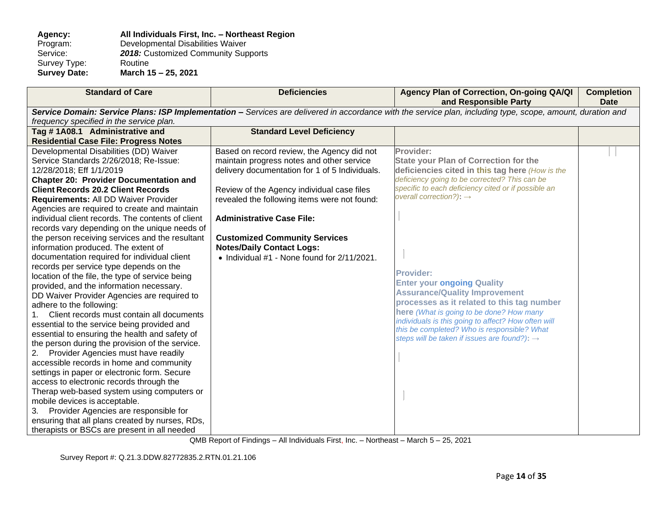### **Agency: All Individuals First, Inc. – Northeast Region**  Program: Developmental Disabilities Waiver<br>Service: 2018: Customized Community Sup 2018: Customized Community Supports<br>Routine Survey Type:<br>Survey Date: **Survey Date: March 15 – 25, 2021**

| <b>Standard of Care</b>                           | <b>Deficiencies</b>                            | Agency Plan of Correction, On-going QA/QI<br>and Responsible Party                                                                                          | <b>Completion</b><br><b>Date</b> |
|---------------------------------------------------|------------------------------------------------|-------------------------------------------------------------------------------------------------------------------------------------------------------------|----------------------------------|
|                                                   |                                                | Service Domain: Service Plans: ISP Implementation - Services are delivered in accordance with the service plan, including type, scope, amount, duration and |                                  |
| frequency specified in the service plan.          |                                                |                                                                                                                                                             |                                  |
| Tag #1A08.1 Administrative and                    | <b>Standard Level Deficiency</b>               |                                                                                                                                                             |                                  |
| <b>Residential Case File: Progress Notes</b>      |                                                |                                                                                                                                                             |                                  |
| Developmental Disabilities (DD) Waiver            | Based on record review, the Agency did not     | Provider:                                                                                                                                                   |                                  |
| Service Standards 2/26/2018; Re-Issue:            | maintain progress notes and other service      | <b>State your Plan of Correction for the</b>                                                                                                                |                                  |
| 12/28/2018; Eff 1/1/2019                          | delivery documentation for 1 of 5 Individuals. | deficiencies cited in this tag here (How is the                                                                                                             |                                  |
| <b>Chapter 20: Provider Documentation and</b>     |                                                | deficiency going to be corrected? This can be                                                                                                               |                                  |
| <b>Client Records 20.2 Client Records</b>         | Review of the Agency individual case files     | specific to each deficiency cited or if possible an                                                                                                         |                                  |
| Requirements: All DD Waiver Provider              | revealed the following items were not found:   | overall correction?): $\rightarrow$                                                                                                                         |                                  |
| Agencies are required to create and maintain      |                                                |                                                                                                                                                             |                                  |
| individual client records. The contents of client | <b>Administrative Case File:</b>               |                                                                                                                                                             |                                  |
| records vary depending on the unique needs of     |                                                |                                                                                                                                                             |                                  |
| the person receiving services and the resultant   | <b>Customized Community Services</b>           |                                                                                                                                                             |                                  |
| information produced. The extent of               | <b>Notes/Daily Contact Logs:</b>               |                                                                                                                                                             |                                  |
| documentation required for individual client      | • Individual #1 - None found for 2/11/2021.    |                                                                                                                                                             |                                  |
| records per service type depends on the           |                                                |                                                                                                                                                             |                                  |
| location of the file, the type of service being   |                                                | <b>Provider:</b>                                                                                                                                            |                                  |
| provided, and the information necessary.          |                                                | <b>Enter your ongoing Quality</b>                                                                                                                           |                                  |
| DD Waiver Provider Agencies are required to       |                                                | <b>Assurance/Quality Improvement</b>                                                                                                                        |                                  |
| adhere to the following:                          |                                                | processes as it related to this tag number                                                                                                                  |                                  |
| Client records must contain all documents         |                                                | here (What is going to be done? How many                                                                                                                    |                                  |
| essential to the service being provided and       |                                                | individuals is this going to affect? How often will                                                                                                         |                                  |
| essential to ensuring the health and safety of    |                                                | this be completed? Who is responsible? What<br>steps will be taken if issues are found?): $\rightarrow$                                                     |                                  |
| the person during the provision of the service.   |                                                |                                                                                                                                                             |                                  |
| Provider Agencies must have readily<br>2.         |                                                |                                                                                                                                                             |                                  |
| accessible records in home and community          |                                                |                                                                                                                                                             |                                  |
| settings in paper or electronic form. Secure      |                                                |                                                                                                                                                             |                                  |
| access to electronic records through the          |                                                |                                                                                                                                                             |                                  |
| Therap web-based system using computers or        |                                                |                                                                                                                                                             |                                  |
| mobile devices is acceptable.                     |                                                |                                                                                                                                                             |                                  |
| Provider Agencies are responsible for<br>3.       |                                                |                                                                                                                                                             |                                  |
| ensuring that all plans created by nurses, RDs,   |                                                |                                                                                                                                                             |                                  |
| therapists or BSCs are present in all needed      |                                                |                                                                                                                                                             |                                  |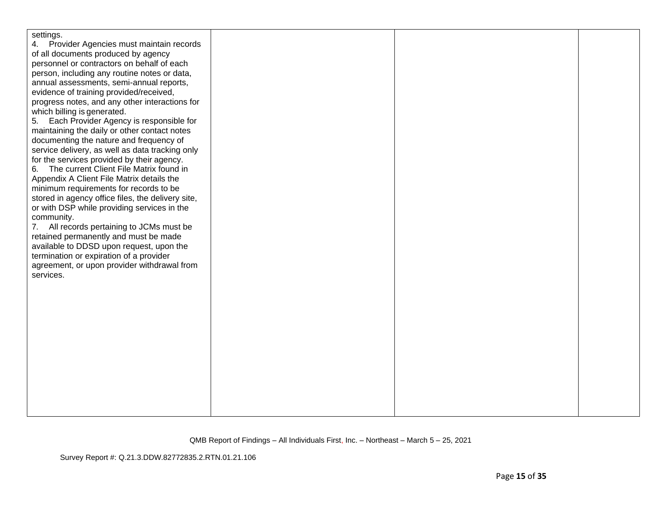| settings.                                         |  |  |
|---------------------------------------------------|--|--|
| Provider Agencies must maintain records           |  |  |
| of all documents produced by agency               |  |  |
| personnel or contractors on behalf of each        |  |  |
| person, including any routine notes or data,      |  |  |
| annual assessments, semi-annual reports,          |  |  |
| evidence of training provided/received,           |  |  |
| progress notes, and any other interactions for    |  |  |
| which billing is generated.                       |  |  |
| Each Provider Agency is responsible for<br>5.     |  |  |
| maintaining the daily or other contact notes      |  |  |
| documenting the nature and frequency of           |  |  |
| service delivery, as well as data tracking only   |  |  |
| for the services provided by their agency.        |  |  |
| The current Client File Matrix found in<br>6.     |  |  |
| Appendix A Client File Matrix details the         |  |  |
| minimum requirements for records to be            |  |  |
| stored in agency office files, the delivery site, |  |  |
| or with DSP while providing services in the       |  |  |
| community.                                        |  |  |
| 7. All records pertaining to JCMs must be         |  |  |
| retained permanently and must be made             |  |  |
| available to DDSD upon request, upon the          |  |  |
| termination or expiration of a provider           |  |  |
| agreement, or upon provider withdrawal from       |  |  |
| services.                                         |  |  |
|                                                   |  |  |
|                                                   |  |  |
|                                                   |  |  |
|                                                   |  |  |
|                                                   |  |  |
|                                                   |  |  |
|                                                   |  |  |
|                                                   |  |  |
|                                                   |  |  |
|                                                   |  |  |
|                                                   |  |  |
|                                                   |  |  |
|                                                   |  |  |
|                                                   |  |  |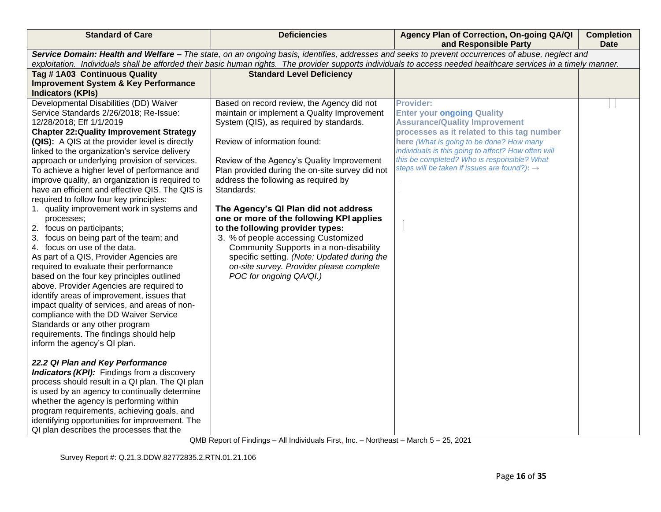| <b>Standard of Care</b>                                                                                                                                          | <b>Deficiencies</b>                                                                     | Agency Plan of Correction, On-going QA/QI<br>and Responsible Party                                      | <b>Completion</b><br><b>Date</b> |  |
|------------------------------------------------------------------------------------------------------------------------------------------------------------------|-----------------------------------------------------------------------------------------|---------------------------------------------------------------------------------------------------------|----------------------------------|--|
| Service Domain: Health and Welfare - The state, on an ongoing basis, identifies, addresses and seeks to prevent occurrences of abuse, neglect and                |                                                                                         |                                                                                                         |                                  |  |
| exploitation. Individuals shall be afforded their basic human rights. The provider supports individuals to access needed healthcare services in a timely manner. |                                                                                         |                                                                                                         |                                  |  |
| Tag #1A03 Continuous Quality                                                                                                                                     | <b>Standard Level Deficiency</b>                                                        |                                                                                                         |                                  |  |
| <b>Improvement System &amp; Key Performance</b>                                                                                                                  |                                                                                         |                                                                                                         |                                  |  |
| <b>Indicators (KPIs)</b>                                                                                                                                         |                                                                                         |                                                                                                         |                                  |  |
| Developmental Disabilities (DD) Waiver                                                                                                                           | Based on record review, the Agency did not                                              | <b>Provider:</b>                                                                                        |                                  |  |
| Service Standards 2/26/2018; Re-Issue:                                                                                                                           | maintain or implement a Quality Improvement                                             | <b>Enter your ongoing Quality</b>                                                                       |                                  |  |
| 12/28/2018; Eff 1/1/2019                                                                                                                                         | System (QIS), as required by standards.                                                 | <b>Assurance/Quality Improvement</b>                                                                    |                                  |  |
| <b>Chapter 22: Quality Improvement Strategy</b>                                                                                                                  |                                                                                         | processes as it related to this tag number                                                              |                                  |  |
| (QIS): A QIS at the provider level is directly                                                                                                                   | Review of information found:                                                            | here (What is going to be done? How many                                                                |                                  |  |
| linked to the organization's service delivery                                                                                                                    |                                                                                         | individuals is this going to affect? How often will                                                     |                                  |  |
| approach or underlying provision of services.                                                                                                                    | Review of the Agency's Quality Improvement                                              | this be completed? Who is responsible? What<br>steps will be taken if issues are found?): $\rightarrow$ |                                  |  |
| To achieve a higher level of performance and                                                                                                                     | Plan provided during the on-site survey did not                                         |                                                                                                         |                                  |  |
| improve quality, an organization is required to                                                                                                                  | address the following as required by                                                    |                                                                                                         |                                  |  |
| have an efficient and effective QIS. The QIS is                                                                                                                  | Standards:                                                                              |                                                                                                         |                                  |  |
| required to follow four key principles:                                                                                                                          |                                                                                         |                                                                                                         |                                  |  |
| 1. quality improvement work in systems and                                                                                                                       | The Agency's QI Plan did not address                                                    |                                                                                                         |                                  |  |
| processes;                                                                                                                                                       | one or more of the following KPI applies                                                |                                                                                                         |                                  |  |
| 2. focus on participants;                                                                                                                                        | to the following provider types:                                                        |                                                                                                         |                                  |  |
| 3. focus on being part of the team; and<br>4. focus on use of the data.                                                                                          | 3. % of people accessing Customized                                                     |                                                                                                         |                                  |  |
|                                                                                                                                                                  | Community Supports in a non-disability                                                  |                                                                                                         |                                  |  |
| As part of a QIS, Provider Agencies are<br>required to evaluate their performance                                                                                | specific setting. (Note: Updated during the<br>on-site survey. Provider please complete |                                                                                                         |                                  |  |
| based on the four key principles outlined                                                                                                                        | POC for ongoing QA/QI.)                                                                 |                                                                                                         |                                  |  |
| above. Provider Agencies are required to                                                                                                                         |                                                                                         |                                                                                                         |                                  |  |
| identify areas of improvement, issues that                                                                                                                       |                                                                                         |                                                                                                         |                                  |  |
| impact quality of services, and areas of non-                                                                                                                    |                                                                                         |                                                                                                         |                                  |  |
| compliance with the DD Waiver Service                                                                                                                            |                                                                                         |                                                                                                         |                                  |  |
| Standards or any other program                                                                                                                                   |                                                                                         |                                                                                                         |                                  |  |
| requirements. The findings should help                                                                                                                           |                                                                                         |                                                                                                         |                                  |  |
| inform the agency's QI plan.                                                                                                                                     |                                                                                         |                                                                                                         |                                  |  |
|                                                                                                                                                                  |                                                                                         |                                                                                                         |                                  |  |
| 22.2 QI Plan and Key Performance                                                                                                                                 |                                                                                         |                                                                                                         |                                  |  |
| <b>Indicators (KPI):</b> Findings from a discovery                                                                                                               |                                                                                         |                                                                                                         |                                  |  |
| process should result in a QI plan. The QI plan                                                                                                                  |                                                                                         |                                                                                                         |                                  |  |
| is used by an agency to continually determine                                                                                                                    |                                                                                         |                                                                                                         |                                  |  |
| whether the agency is performing within                                                                                                                          |                                                                                         |                                                                                                         |                                  |  |
| program requirements, achieving goals, and                                                                                                                       |                                                                                         |                                                                                                         |                                  |  |
| identifying opportunities for improvement. The                                                                                                                   |                                                                                         |                                                                                                         |                                  |  |
| QI plan describes the processes that the                                                                                                                         |                                                                                         |                                                                                                         |                                  |  |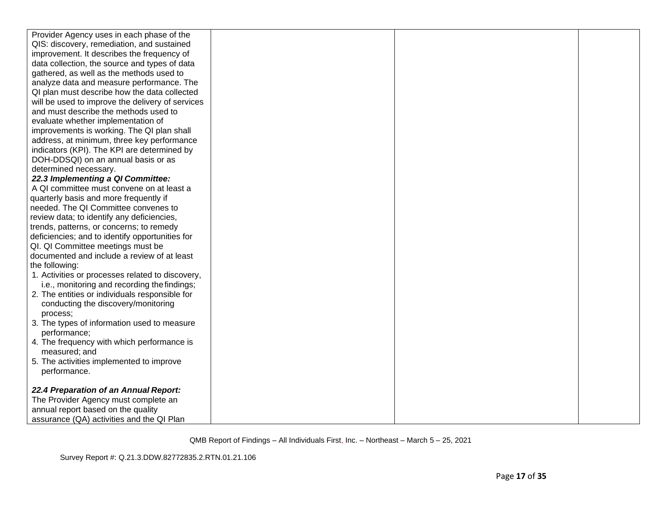| Provider Agency uses in each phase of the        |  |  |
|--------------------------------------------------|--|--|
| QIS: discovery, remediation, and sustained       |  |  |
| improvement. It describes the frequency of       |  |  |
| data collection, the source and types of data    |  |  |
| gathered, as well as the methods used to         |  |  |
| analyze data and measure performance. The        |  |  |
| QI plan must describe how the data collected     |  |  |
| will be used to improve the delivery of services |  |  |
| and must describe the methods used to            |  |  |
| evaluate whether implementation of               |  |  |
| improvements is working. The QI plan shall       |  |  |
| address, at minimum, three key performance       |  |  |
| indicators (KPI). The KPI are determined by      |  |  |
| DOH-DDSQI) on an annual basis or as              |  |  |
| determined necessary.                            |  |  |
| 22.3 Implementing a QI Committee:                |  |  |
| A QI committee must convene on at least a        |  |  |
| quarterly basis and more frequently if           |  |  |
| needed. The QI Committee convenes to             |  |  |
| review data; to identify any deficiencies,       |  |  |
| trends, patterns, or concerns; to remedy         |  |  |
| deficiencies; and to identify opportunities for  |  |  |
| QI. QI Committee meetings must be                |  |  |
| documented and include a review of at least      |  |  |
| the following:                                   |  |  |
| 1. Activities or processes related to discovery, |  |  |
| i.e., monitoring and recording the findings;     |  |  |
| 2. The entities or individuals responsible for   |  |  |
| conducting the discovery/monitoring              |  |  |
| process;                                         |  |  |
| 3. The types of information used to measure      |  |  |
| performance;                                     |  |  |
| 4. The frequency with which performance is       |  |  |
| measured; and                                    |  |  |
| 5. The activities implemented to improve         |  |  |
| performance.                                     |  |  |
| 22.4 Preparation of an Annual Report:            |  |  |
| The Provider Agency must complete an             |  |  |
| annual report based on the quality               |  |  |
| assurance (QA) activities and the QI Plan        |  |  |

Survey Report #: Q.21.3.DDW.82772835.2.RTN.01.21.106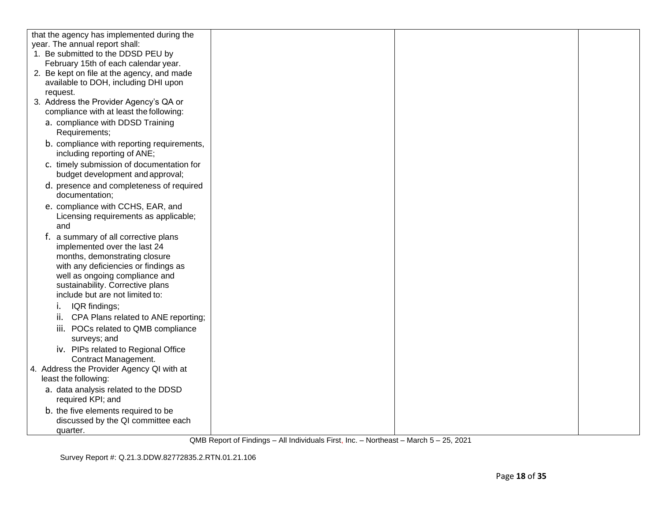| that the agency has implemented during the |  |  |
|--------------------------------------------|--|--|
| year. The annual report shall:             |  |  |
| 1. Be submitted to the DDSD PEU by         |  |  |
| February 15th of each calendar year.       |  |  |
| 2. Be kept on file at the agency, and made |  |  |
| available to DOH, including DHI upon       |  |  |
| request.                                   |  |  |
| 3. Address the Provider Agency's QA or     |  |  |
| compliance with at least the following:    |  |  |
| a. compliance with DDSD Training           |  |  |
| Requirements;                              |  |  |
| b. compliance with reporting requirements, |  |  |
| including reporting of ANE;                |  |  |
| c. timely submission of documentation for  |  |  |
| budget development and approval;           |  |  |
|                                            |  |  |
| d. presence and completeness of required   |  |  |
| documentation;                             |  |  |
| e. compliance with CCHS, EAR, and          |  |  |
| Licensing requirements as applicable;      |  |  |
| and                                        |  |  |
| f. a summary of all corrective plans       |  |  |
| implemented over the last 24               |  |  |
| months, demonstrating closure              |  |  |
| with any deficiencies or findings as       |  |  |
| well as ongoing compliance and             |  |  |
| sustainability. Corrective plans           |  |  |
| include but are not limited to:            |  |  |
| IQR findings;<br>۱.                        |  |  |
| CPA Plans related to ANE reporting;<br>ii. |  |  |
| iii. POCs related to QMB compliance        |  |  |
| surveys; and                               |  |  |
| iv. PIPs related to Regional Office        |  |  |
| Contract Management.                       |  |  |
| 4. Address the Provider Agency QI with at  |  |  |
| least the following:                       |  |  |
| a. data analysis related to the DDSD       |  |  |
| required KPI; and                          |  |  |
|                                            |  |  |
| b. the five elements required to be        |  |  |
| discussed by the QI committee each         |  |  |
| quarter.                                   |  |  |

Survey Report #: Q.21.3.DDW.82772835.2.RTN.01.21.106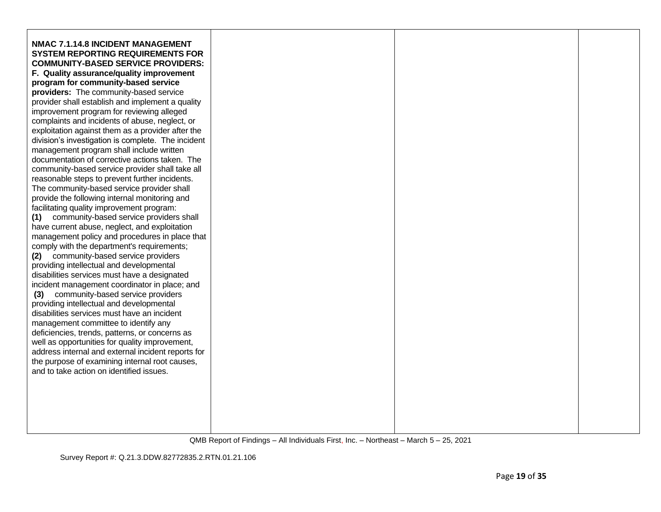| <b>NMAC 7.1.14.8 INCIDENT MANAGEMENT</b>           |  |  |
|----------------------------------------------------|--|--|
| <b>SYSTEM REPORTING REQUIREMENTS FOR</b>           |  |  |
| <b>COMMUNITY-BASED SERVICE PROVIDERS:</b>          |  |  |
| F. Quality assurance/quality improvement           |  |  |
| program for community-based service                |  |  |
|                                                    |  |  |
| providers: The community-based service             |  |  |
| provider shall establish and implement a quality   |  |  |
| improvement program for reviewing alleged          |  |  |
| complaints and incidents of abuse, neglect, or     |  |  |
| exploitation against them as a provider after the  |  |  |
| division's investigation is complete. The incident |  |  |
| management program shall include written           |  |  |
| documentation of corrective actions taken. The     |  |  |
| community-based service provider shall take all    |  |  |
| reasonable steps to prevent further incidents.     |  |  |
| The community-based service provider shall         |  |  |
| provide the following internal monitoring and      |  |  |
| facilitating quality improvement program:          |  |  |
| community-based service providers shall<br>(1)     |  |  |
| have current abuse, neglect, and exploitation      |  |  |
| management policy and procedures in place that     |  |  |
| comply with the department's requirements;         |  |  |
| community-based service providers<br>(2)           |  |  |
| providing intellectual and developmental           |  |  |
| disabilities services must have a designated       |  |  |
| incident management coordinator in place; and      |  |  |
| community-based service providers<br>(3)           |  |  |
| providing intellectual and developmental           |  |  |
| disabilities services must have an incident        |  |  |
| management committee to identify any               |  |  |
| deficiencies, trends, patterns, or concerns as     |  |  |
| well as opportunities for quality improvement,     |  |  |
| address internal and external incident reports for |  |  |
| the purpose of examining internal root causes,     |  |  |
| and to take action on identified issues.           |  |  |
|                                                    |  |  |
|                                                    |  |  |
|                                                    |  |  |
|                                                    |  |  |
|                                                    |  |  |
|                                                    |  |  |
|                                                    |  |  |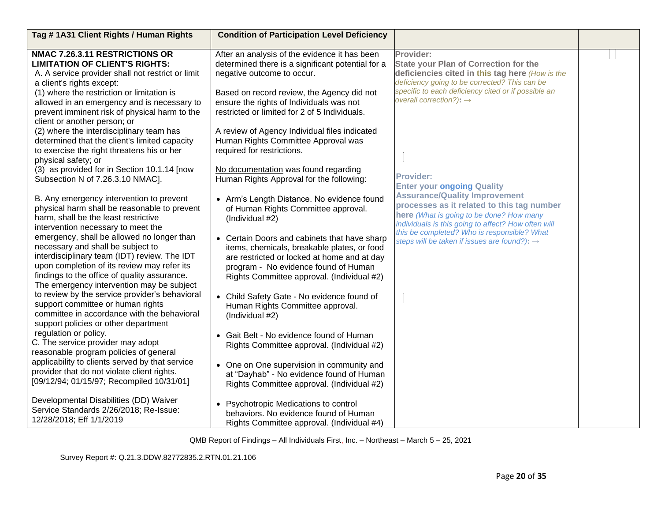| Tag #1A31 Client Rights / Human Rights            | <b>Condition of Participation Level Deficiency</b> |                                                                                                      |  |
|---------------------------------------------------|----------------------------------------------------|------------------------------------------------------------------------------------------------------|--|
| <b>NMAC 7.26.3.11 RESTRICTIONS OR</b>             | After an analysis of the evidence it has been      | Provider:                                                                                            |  |
| <b>LIMITATION OF CLIENT'S RIGHTS:</b>             | determined there is a significant potential for a  | <b>State your Plan of Correction for the</b>                                                         |  |
|                                                   |                                                    |                                                                                                      |  |
| A. A service provider shall not restrict or limit | negative outcome to occur.                         | deficiencies cited in this tag here (How is the                                                      |  |
| a client's rights except:                         |                                                    | deficiency going to be corrected? This can be<br>specific to each deficiency cited or if possible an |  |
| (1) where the restriction or limitation is        | Based on record review, the Agency did not         | overall correction?): $\rightarrow$                                                                  |  |
| allowed in an emergency and is necessary to       | ensure the rights of Individuals was not           |                                                                                                      |  |
| prevent imminent risk of physical harm to the     | restricted or limited for 2 of 5 Individuals.      |                                                                                                      |  |
| client or another person; or                      |                                                    |                                                                                                      |  |
| (2) where the interdisciplinary team has          | A review of Agency Individual files indicated      |                                                                                                      |  |
| determined that the client's limited capacity     | Human Rights Committee Approval was                |                                                                                                      |  |
| to exercise the right threatens his or her        | required for restrictions.                         |                                                                                                      |  |
| physical safety; or                               |                                                    |                                                                                                      |  |
| (3) as provided for in Section 10.1.14 [now       | No documentation was found regarding               |                                                                                                      |  |
| Subsection N of 7.26.3.10 NMAC].                  | Human Rights Approval for the following:           | <b>Provider:</b>                                                                                     |  |
|                                                   |                                                    | <b>Enter your ongoing Quality</b>                                                                    |  |
| B. Any emergency intervention to prevent          | • Arm's Length Distance. No evidence found         | <b>Assurance/Quality Improvement</b>                                                                 |  |
| physical harm shall be reasonable to prevent      | of Human Rights Committee approval.                | processes as it related to this tag number                                                           |  |
| harm, shall be the least restrictive              | (Individual #2)                                    | here (What is going to be done? How many                                                             |  |
| intervention necessary to meet the                |                                                    | individuals is this going to affect? How often will                                                  |  |
| emergency, shall be allowed no longer than        |                                                    | this be completed? Who is responsible? What                                                          |  |
|                                                   | • Certain Doors and cabinets that have sharp       | steps will be taken if issues are found?): →                                                         |  |
| necessary and shall be subject to                 | items, chemicals, breakable plates, or food        |                                                                                                      |  |
| interdisciplinary team (IDT) review. The IDT      | are restricted or locked at home and at day        |                                                                                                      |  |
| upon completion of its review may refer its       | program - No evidence found of Human               |                                                                                                      |  |
| findings to the office of quality assurance.      | Rights Committee approval. (Individual #2)         |                                                                                                      |  |
| The emergency intervention may be subject         |                                                    |                                                                                                      |  |
| to review by the service provider's behavioral    | • Child Safety Gate - No evidence found of         |                                                                                                      |  |
| support committee or human rights                 | Human Rights Committee approval.                   |                                                                                                      |  |
| committee in accordance with the behavioral       | (Individual #2)                                    |                                                                                                      |  |
| support policies or other department              |                                                    |                                                                                                      |  |
| regulation or policy.                             | • Gait Belt - No evidence found of Human           |                                                                                                      |  |
| C. The service provider may adopt                 | Rights Committee approval. (Individual #2)         |                                                                                                      |  |
| reasonable program policies of general            |                                                    |                                                                                                      |  |
| applicability to clients served by that service   | • One on One supervision in community and          |                                                                                                      |  |
| provider that do not violate client rights.       | at "Dayhab" - No evidence found of Human           |                                                                                                      |  |
| [09/12/94; 01/15/97; Recompiled 10/31/01]         | Rights Committee approval. (Individual #2)         |                                                                                                      |  |
|                                                   |                                                    |                                                                                                      |  |
| Developmental Disabilities (DD) Waiver            |                                                    |                                                                                                      |  |
| Service Standards 2/26/2018; Re-Issue:            | • Psychotropic Medications to control              |                                                                                                      |  |
| 12/28/2018; Eff 1/1/2019                          | behaviors. No evidence found of Human              |                                                                                                      |  |
|                                                   | Rights Committee approval. (Individual #4)         |                                                                                                      |  |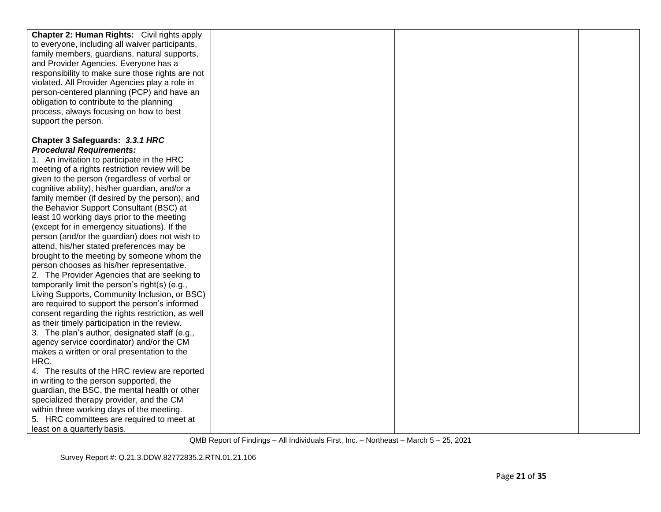| <b>Chapter 2: Human Rights:</b> Civil rights apply |  |  |
|----------------------------------------------------|--|--|
| to everyone, including all waiver participants,    |  |  |
| family members, guardians, natural supports,       |  |  |
| and Provider Agencies. Everyone has a              |  |  |
| responsibility to make sure those rights are not   |  |  |
| violated. All Provider Agencies play a role in     |  |  |
| person-centered planning (PCP) and have an         |  |  |
| obligation to contribute to the planning           |  |  |
| process, always focusing on how to best            |  |  |
| support the person.                                |  |  |
|                                                    |  |  |
| Chapter 3 Safeguards: 3.3.1 HRC                    |  |  |
| <b>Procedural Requirements:</b>                    |  |  |
| 1. An invitation to participate in the HRC         |  |  |
| meeting of a rights restriction review will be     |  |  |
| given to the person (regardless of verbal or       |  |  |
| cognitive ability), his/her guardian, and/or a     |  |  |
| family member (if desired by the person), and      |  |  |
| the Behavior Support Consultant (BSC) at           |  |  |
| least 10 working days prior to the meeting         |  |  |
| (except for in emergency situations). If the       |  |  |
| person (and/or the guardian) does not wish to      |  |  |
| attend, his/her stated preferences may be          |  |  |
| brought to the meeting by someone whom the         |  |  |
| person chooses as his/her representative.          |  |  |
| 2. The Provider Agencies that are seeking to       |  |  |
| temporarily limit the person's right(s) (e.g.,     |  |  |
| Living Supports, Community Inclusion, or BSC)      |  |  |
| are required to support the person's informed      |  |  |
| consent regarding the rights restriction, as well  |  |  |
| as their timely participation in the review.       |  |  |
| 3. The plan's author, designated staff (e.g.,      |  |  |
| agency service coordinator) and/or the CM          |  |  |
| makes a written or oral presentation to the        |  |  |
| HRC.                                               |  |  |
| 4. The results of the HRC review are reported      |  |  |
| in writing to the person supported, the            |  |  |
| guardian, the BSC, the mental health or other      |  |  |
| specialized therapy provider, and the CM           |  |  |
| within three working days of the meeting.          |  |  |
| 5. HRC committees are required to meet at          |  |  |
| least on a quarterly basis.                        |  |  |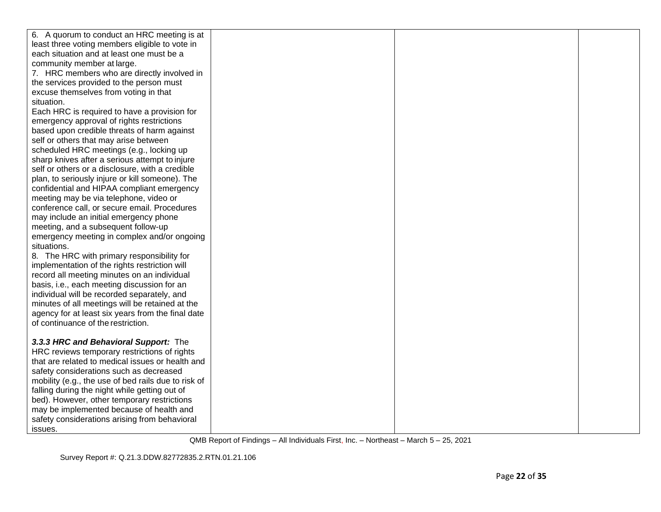| 6. A quorum to conduct an HRC meeting is at                                                          |  |  |
|------------------------------------------------------------------------------------------------------|--|--|
| least three voting members eligible to vote in                                                       |  |  |
| each situation and at least one must be a                                                            |  |  |
| community member at large.                                                                           |  |  |
| 7. HRC members who are directly involved in                                                          |  |  |
| the services provided to the person must                                                             |  |  |
| excuse themselves from voting in that                                                                |  |  |
| situation.                                                                                           |  |  |
| Each HRC is required to have a provision for                                                         |  |  |
| emergency approval of rights restrictions                                                            |  |  |
| based upon credible threats of harm against                                                          |  |  |
| self or others that may arise between                                                                |  |  |
| scheduled HRC meetings (e.g., locking up                                                             |  |  |
| sharp knives after a serious attempt to injure                                                       |  |  |
| self or others or a disclosure, with a credible                                                      |  |  |
| plan, to seriously injure or kill someone). The                                                      |  |  |
| confidential and HIPAA compliant emergency                                                           |  |  |
| meeting may be via telephone, video or                                                               |  |  |
| conference call, or secure email. Procedures                                                         |  |  |
| may include an initial emergency phone                                                               |  |  |
| meeting, and a subsequent follow-up                                                                  |  |  |
| emergency meeting in complex and/or ongoing                                                          |  |  |
| situations.                                                                                          |  |  |
| 8. The HRC with primary responsibility for                                                           |  |  |
| implementation of the rights restriction will                                                        |  |  |
| record all meeting minutes on an individual                                                          |  |  |
| basis, i.e., each meeting discussion for an                                                          |  |  |
| individual will be recorded separately, and                                                          |  |  |
| minutes of all meetings will be retained at the                                                      |  |  |
| agency for at least six years from the final date                                                    |  |  |
| of continuance of the restriction.                                                                   |  |  |
|                                                                                                      |  |  |
| 3.3.3 HRC and Behavioral Support: The                                                                |  |  |
| HRC reviews temporary restrictions of rights<br>that are related to medical issues or health and     |  |  |
| safety considerations such as decreased                                                              |  |  |
|                                                                                                      |  |  |
| mobility (e.g., the use of bed rails due to risk of<br>falling during the night while getting out of |  |  |
| bed). However, other temporary restrictions                                                          |  |  |
| may be implemented because of health and                                                             |  |  |
|                                                                                                      |  |  |
| safety considerations arising from behavioral                                                        |  |  |
| issues.                                                                                              |  |  |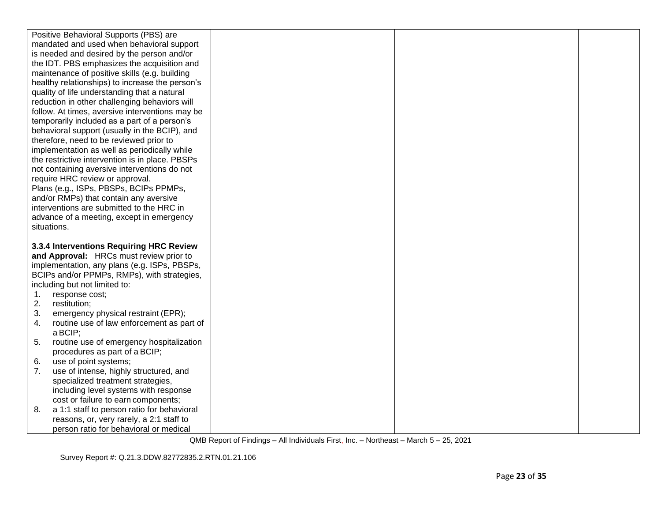| Positive Behavioral Supports (PBS) are                                             |  |  |
|------------------------------------------------------------------------------------|--|--|
| mandated and used when behavioral support                                          |  |  |
| is needed and desired by the person and/or                                         |  |  |
| the IDT. PBS emphasizes the acquisition and                                        |  |  |
| maintenance of positive skills (e.g. building                                      |  |  |
| healthy relationships) to increase the person's                                    |  |  |
| quality of life understanding that a natural                                       |  |  |
| reduction in other challenging behaviors will                                      |  |  |
| follow. At times, aversive interventions may be                                    |  |  |
| temporarily included as a part of a person's                                       |  |  |
| behavioral support (usually in the BCIP), and                                      |  |  |
| therefore, need to be reviewed prior to                                            |  |  |
| implementation as well as periodically while                                       |  |  |
| the restrictive intervention is in place. PBSPs                                    |  |  |
| not containing aversive interventions do not                                       |  |  |
| require HRC review or approval.                                                    |  |  |
| Plans (e.g., ISPs, PBSPs, BCIPs PPMPs,                                             |  |  |
| and/or RMPs) that contain any aversive                                             |  |  |
| interventions are submitted to the HRC in                                          |  |  |
| advance of a meeting, except in emergency<br>situations.                           |  |  |
|                                                                                    |  |  |
|                                                                                    |  |  |
|                                                                                    |  |  |
| 3.3.4 Interventions Requiring HRC Review                                           |  |  |
| and Approval: HRCs must review prior to                                            |  |  |
| implementation, any plans (e.g. ISPs, PBSPs,                                       |  |  |
| BCIPs and/or PPMPs, RMPs), with strategies,                                        |  |  |
| including but not limited to:                                                      |  |  |
| response cost;<br>1.                                                               |  |  |
| 2.<br>restitution;                                                                 |  |  |
| 3.<br>emergency physical restraint (EPR);<br>4.                                    |  |  |
| routine use of law enforcement as part of<br>a BCIP;                               |  |  |
| routine use of emergency hospitalization<br>5.                                     |  |  |
| procedures as part of a BCIP;                                                      |  |  |
| use of point systems;<br>6.                                                        |  |  |
| 7.<br>use of intense, highly structured, and                                       |  |  |
| specialized treatment strategies,                                                  |  |  |
| including level systems with response                                              |  |  |
| cost or failure to earn components;                                                |  |  |
| a 1:1 staff to person ratio for behavioral<br>8.                                   |  |  |
| reasons, or, very rarely, a 2:1 staff to<br>person ratio for behavioral or medical |  |  |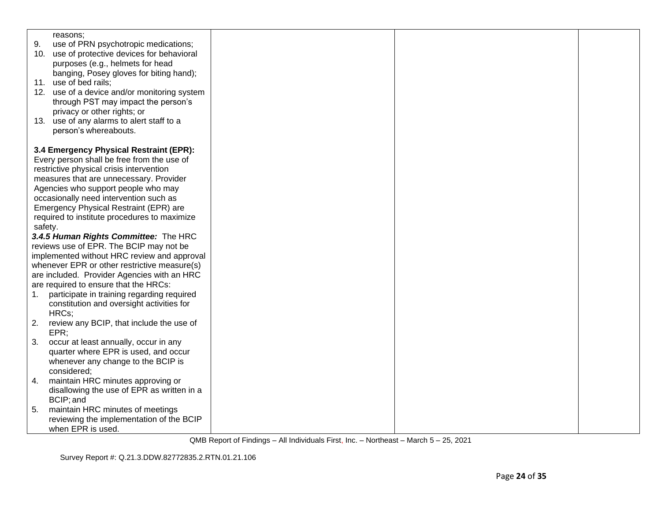| 9.<br>use of PRN psychotropic medications;<br>10. use of protective devices for behavioral<br>purposes (e.g., helmets for head<br>banging, Posey gloves for biting hand);<br>11. use of bed rails;<br>12. use of a device and/or monitoring system<br>through PST may impact the person's<br>privacy or other rights; or<br>13. use of any alarms to alert staff to a |
|-----------------------------------------------------------------------------------------------------------------------------------------------------------------------------------------------------------------------------------------------------------------------------------------------------------------------------------------------------------------------|
|                                                                                                                                                                                                                                                                                                                                                                       |
|                                                                                                                                                                                                                                                                                                                                                                       |
|                                                                                                                                                                                                                                                                                                                                                                       |
|                                                                                                                                                                                                                                                                                                                                                                       |
|                                                                                                                                                                                                                                                                                                                                                                       |
|                                                                                                                                                                                                                                                                                                                                                                       |
|                                                                                                                                                                                                                                                                                                                                                                       |
|                                                                                                                                                                                                                                                                                                                                                                       |
|                                                                                                                                                                                                                                                                                                                                                                       |
| person's whereabouts.                                                                                                                                                                                                                                                                                                                                                 |
|                                                                                                                                                                                                                                                                                                                                                                       |
| 3.4 Emergency Physical Restraint (EPR):<br>Every person shall be free from the use of                                                                                                                                                                                                                                                                                 |
| restrictive physical crisis intervention                                                                                                                                                                                                                                                                                                                              |
| measures that are unnecessary. Provider                                                                                                                                                                                                                                                                                                                               |
| Agencies who support people who may                                                                                                                                                                                                                                                                                                                                   |
| occasionally need intervention such as                                                                                                                                                                                                                                                                                                                                |
| Emergency Physical Restraint (EPR) are                                                                                                                                                                                                                                                                                                                                |
| required to institute procedures to maximize                                                                                                                                                                                                                                                                                                                          |
| safety.                                                                                                                                                                                                                                                                                                                                                               |
| 3.4.5 Human Rights Committee: The HRC                                                                                                                                                                                                                                                                                                                                 |
| reviews use of EPR. The BCIP may not be                                                                                                                                                                                                                                                                                                                               |
| implemented without HRC review and approval                                                                                                                                                                                                                                                                                                                           |
| whenever EPR or other restrictive measure(s)                                                                                                                                                                                                                                                                                                                          |
| are included. Provider Agencies with an HRC                                                                                                                                                                                                                                                                                                                           |
| are required to ensure that the HRCs:                                                                                                                                                                                                                                                                                                                                 |
| participate in training regarding required<br>1.                                                                                                                                                                                                                                                                                                                      |
| constitution and oversight activities for                                                                                                                                                                                                                                                                                                                             |
| HRCs;                                                                                                                                                                                                                                                                                                                                                                 |
| 2.<br>review any BCIP, that include the use of                                                                                                                                                                                                                                                                                                                        |
| EPR;                                                                                                                                                                                                                                                                                                                                                                  |
| 3.<br>occur at least annually, occur in any                                                                                                                                                                                                                                                                                                                           |
| quarter where EPR is used, and occur                                                                                                                                                                                                                                                                                                                                  |
| whenever any change to the BCIP is<br>considered;                                                                                                                                                                                                                                                                                                                     |
| maintain HRC minutes approving or<br>4.                                                                                                                                                                                                                                                                                                                               |
| disallowing the use of EPR as written in a                                                                                                                                                                                                                                                                                                                            |
| BCIP; and                                                                                                                                                                                                                                                                                                                                                             |
| maintain HRC minutes of meetings<br>5.                                                                                                                                                                                                                                                                                                                                |
| reviewing the implementation of the BCIP                                                                                                                                                                                                                                                                                                                              |
| when EPR is used.                                                                                                                                                                                                                                                                                                                                                     |

Survey Report #: Q.21.3.DDW.82772835.2.RTN.01.21.106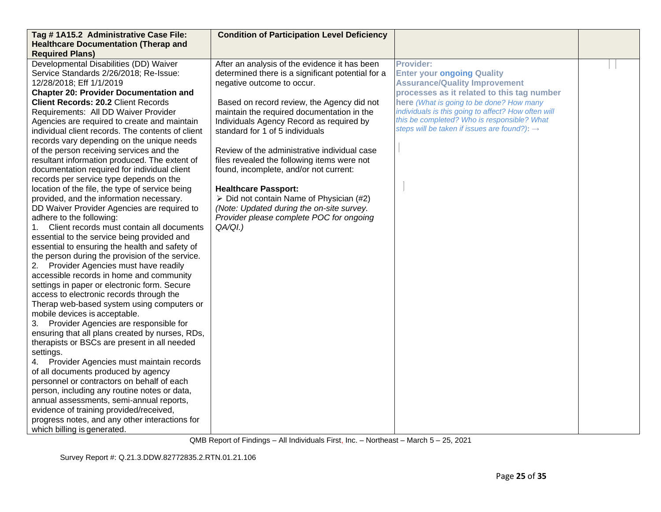| Tag #1A15.2 Administrative Case File:             | <b>Condition of Participation Level Deficiency</b>      |                                                          |  |
|---------------------------------------------------|---------------------------------------------------------|----------------------------------------------------------|--|
| <b>Healthcare Documentation (Therap and</b>       |                                                         |                                                          |  |
| <b>Required Plans)</b>                            |                                                         |                                                          |  |
| Developmental Disabilities (DD) Waiver            | After an analysis of the evidence it has been           | <b>Provider:</b>                                         |  |
| Service Standards 2/26/2018; Re-Issue:            | determined there is a significant potential for a       | <b>Enter your ongoing Quality</b>                        |  |
| 12/28/2018; Eff 1/1/2019                          | negative outcome to occur.                              | <b>Assurance/Quality Improvement</b>                     |  |
| <b>Chapter 20: Provider Documentation and</b>     |                                                         | processes as it related to this tag number               |  |
| <b>Client Records: 20.2 Client Records</b>        | Based on record review, the Agency did not              | here (What is going to be done? How many                 |  |
| Requirements: All DD Waiver Provider              | maintain the required documentation in the              | individuals is this going to affect? How often will      |  |
| Agencies are required to create and maintain      | Individuals Agency Record as required by                | this be completed? Who is responsible? What              |  |
| individual client records. The contents of client | standard for 1 of 5 individuals                         | steps will be taken if issues are found?): $\rightarrow$ |  |
| records vary depending on the unique needs        |                                                         |                                                          |  |
| of the person receiving services and the          | Review of the administrative individual case            |                                                          |  |
| resultant information produced. The extent of     | files revealed the following items were not             |                                                          |  |
| documentation required for individual client      | found, incomplete, and/or not current:                  |                                                          |  |
| records per service type depends on the           |                                                         |                                                          |  |
| location of the file, the type of service being   | <b>Healthcare Passport:</b>                             |                                                          |  |
| provided, and the information necessary.          | $\triangleright$ Did not contain Name of Physician (#2) |                                                          |  |
| DD Waiver Provider Agencies are required to       | (Note: Updated during the on-site survey.               |                                                          |  |
| adhere to the following:                          | Provider please complete POC for ongoing                |                                                          |  |
| 1. Client records must contain all documents      | QA/QI.)                                                 |                                                          |  |
| essential to the service being provided and       |                                                         |                                                          |  |
| essential to ensuring the health and safety of    |                                                         |                                                          |  |
| the person during the provision of the service.   |                                                         |                                                          |  |
| 2. Provider Agencies must have readily            |                                                         |                                                          |  |
| accessible records in home and community          |                                                         |                                                          |  |
| settings in paper or electronic form. Secure      |                                                         |                                                          |  |
| access to electronic records through the          |                                                         |                                                          |  |
| Therap web-based system using computers or        |                                                         |                                                          |  |
| mobile devices is acceptable.                     |                                                         |                                                          |  |
| 3. Provider Agencies are responsible for          |                                                         |                                                          |  |
| ensuring that all plans created by nurses, RDs,   |                                                         |                                                          |  |
| therapists or BSCs are present in all needed      |                                                         |                                                          |  |
| settings.                                         |                                                         |                                                          |  |
| 4. Provider Agencies must maintain records        |                                                         |                                                          |  |
| of all documents produced by agency               |                                                         |                                                          |  |
| personnel or contractors on behalf of each        |                                                         |                                                          |  |
| person, including any routine notes or data,      |                                                         |                                                          |  |
| annual assessments, semi-annual reports,          |                                                         |                                                          |  |
| evidence of training provided/received,           |                                                         |                                                          |  |
| progress notes, and any other interactions for    |                                                         |                                                          |  |
| which billing is generated.                       |                                                         |                                                          |  |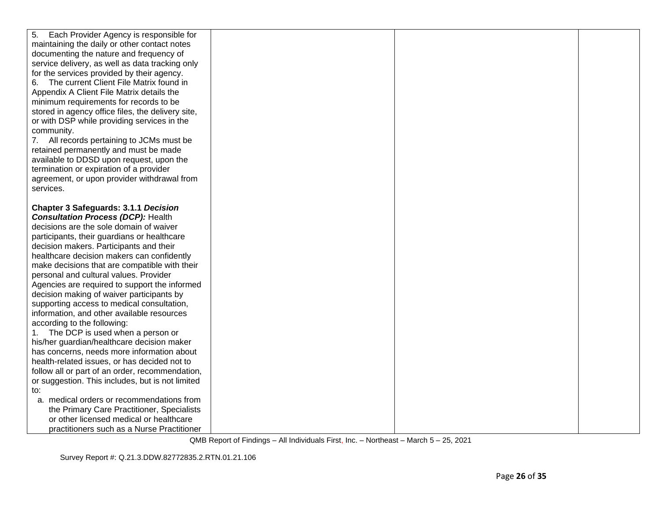| 5.<br>Each Provider Agency is responsible for     |  |  |
|---------------------------------------------------|--|--|
| maintaining the daily or other contact notes      |  |  |
| documenting the nature and frequency of           |  |  |
| service delivery, as well as data tracking only   |  |  |
| for the services provided by their agency.        |  |  |
| The current Client File Matrix found in           |  |  |
| Appendix A Client File Matrix details the         |  |  |
| minimum requirements for records to be            |  |  |
| stored in agency office files, the delivery site, |  |  |
| or with DSP while providing services in the       |  |  |
| community.                                        |  |  |
| 7. All records pertaining to JCMs must be         |  |  |
| retained permanently and must be made             |  |  |
| available to DDSD upon request, upon the          |  |  |
| termination or expiration of a provider           |  |  |
| agreement, or upon provider withdrawal from       |  |  |
| services.                                         |  |  |
|                                                   |  |  |
| <b>Chapter 3 Safeguards: 3.1.1 Decision</b>       |  |  |
| <b>Consultation Process (DCP): Health</b>         |  |  |
| decisions are the sole domain of waiver           |  |  |
| participants, their guardians or healthcare       |  |  |
| decision makers. Participants and their           |  |  |
| healthcare decision makers can confidently        |  |  |
| make decisions that are compatible with their     |  |  |
| personal and cultural values. Provider            |  |  |
| Agencies are required to support the informed     |  |  |
| decision making of waiver participants by         |  |  |
| supporting access to medical consultation,        |  |  |
| information, and other available resources        |  |  |
| according to the following:                       |  |  |
| 1. The DCP is used when a person or               |  |  |
| his/her guardian/healthcare decision maker        |  |  |
| has concerns, needs more information about        |  |  |
| health-related issues, or has decided not to      |  |  |
| follow all or part of an order, recommendation,   |  |  |
| or suggestion. This includes, but is not limited  |  |  |
| to:                                               |  |  |
| a. medical orders or recommendations from         |  |  |
| the Primary Care Practitioner, Specialists        |  |  |
| or other licensed medical or healthcare           |  |  |
| practitioners such as a Nurse Practitioner        |  |  |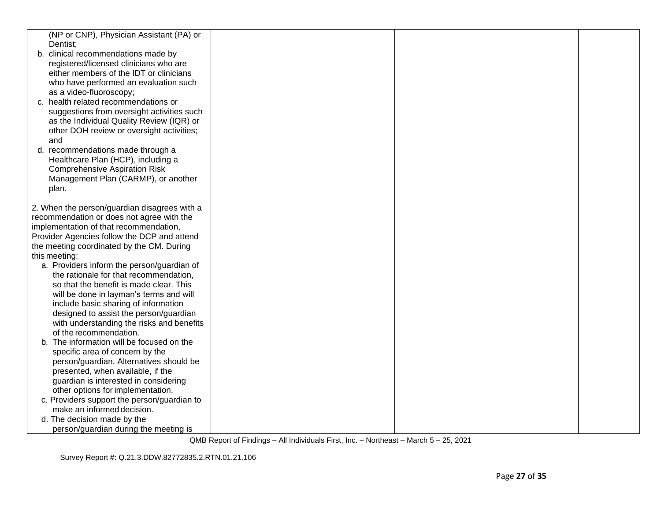| (NP or CNP), Physician Assistant (PA) or     |  |  |
|----------------------------------------------|--|--|
| Dentist;                                     |  |  |
| b. clinical recommendations made by          |  |  |
| registered/licensed clinicians who are       |  |  |
| either members of the IDT or clinicians      |  |  |
| who have performed an evaluation such        |  |  |
| as a video-fluoroscopy;                      |  |  |
| c. health related recommendations or         |  |  |
| suggestions from oversight activities such   |  |  |
| as the Individual Quality Review (IQR) or    |  |  |
| other DOH review or oversight activities;    |  |  |
| and                                          |  |  |
| d. recommendations made through a            |  |  |
| Healthcare Plan (HCP), including a           |  |  |
| <b>Comprehensive Aspiration Risk</b>         |  |  |
| Management Plan (CARMP), or another          |  |  |
| plan.                                        |  |  |
| 2. When the person/guardian disagrees with a |  |  |
| recommendation or does not agree with the    |  |  |
| implementation of that recommendation,       |  |  |
| Provider Agencies follow the DCP and attend  |  |  |
| the meeting coordinated by the CM. During    |  |  |
| this meeting:                                |  |  |
| a. Providers inform the person/guardian of   |  |  |
| the rationale for that recommendation,       |  |  |
| so that the benefit is made clear. This      |  |  |
| will be done in layman's terms and will      |  |  |
| include basic sharing of information         |  |  |
| designed to assist the person/guardian       |  |  |
| with understanding the risks and benefits    |  |  |
| of the recommendation.                       |  |  |
| b. The information will be focused on the    |  |  |
| specific area of concern by the              |  |  |
| person/guardian. Alternatives should be      |  |  |
| presented, when available, if the            |  |  |
| guardian is interested in considering        |  |  |
| other options for implementation.            |  |  |
| c. Providers support the person/guardian to  |  |  |
| make an informed decision.                   |  |  |
| d. The decision made by the                  |  |  |
| person/guardian during the meeting is        |  |  |

Survey Report #: Q.21.3.DDW.82772835.2.RTN.01.21.106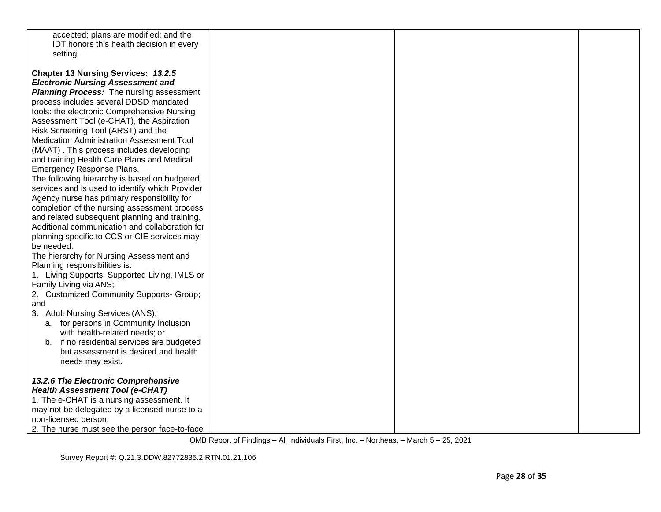| accepted; plans are modified; and the           |  |  |
|-------------------------------------------------|--|--|
| IDT honors this health decision in every        |  |  |
| setting.                                        |  |  |
|                                                 |  |  |
| <b>Chapter 13 Nursing Services: 13.2.5</b>      |  |  |
| <b>Electronic Nursing Assessment and</b>        |  |  |
| <b>Planning Process:</b> The nursing assessment |  |  |
| process includes several DDSD mandated          |  |  |
|                                                 |  |  |
| tools: the electronic Comprehensive Nursing     |  |  |
| Assessment Tool (e-CHAT), the Aspiration        |  |  |
| Risk Screening Tool (ARST) and the              |  |  |
| Medication Administration Assessment Tool       |  |  |
| (MAAT). This process includes developing        |  |  |
| and training Health Care Plans and Medical      |  |  |
| Emergency Response Plans.                       |  |  |
| The following hierarchy is based on budgeted    |  |  |
| services and is used to identify which Provider |  |  |
| Agency nurse has primary responsibility for     |  |  |
| completion of the nursing assessment process    |  |  |
| and related subsequent planning and training.   |  |  |
| Additional communication and collaboration for  |  |  |
| planning specific to CCS or CIE services may    |  |  |
| be needed.                                      |  |  |
| The hierarchy for Nursing Assessment and        |  |  |
| Planning responsibilities is:                   |  |  |
| 1. Living Supports: Supported Living, IMLS or   |  |  |
| Family Living via ANS;                          |  |  |
| 2. Customized Community Supports- Group;        |  |  |
| and                                             |  |  |
| 3. Adult Nursing Services (ANS):                |  |  |
| a. for persons in Community Inclusion           |  |  |
| with health-related needs; or                   |  |  |
| b. if no residential services are budgeted      |  |  |
| but assessment is desired and health            |  |  |
| needs may exist.                                |  |  |
|                                                 |  |  |
| 13.2.6 The Electronic Comprehensive             |  |  |
| <b>Health Assessment Tool (e-CHAT)</b>          |  |  |
| 1. The e-CHAT is a nursing assessment. It       |  |  |
| may not be delegated by a licensed nurse to a   |  |  |
| non-licensed person.                            |  |  |
| 2. The nurse must see the person face-to-face   |  |  |
|                                                 |  |  |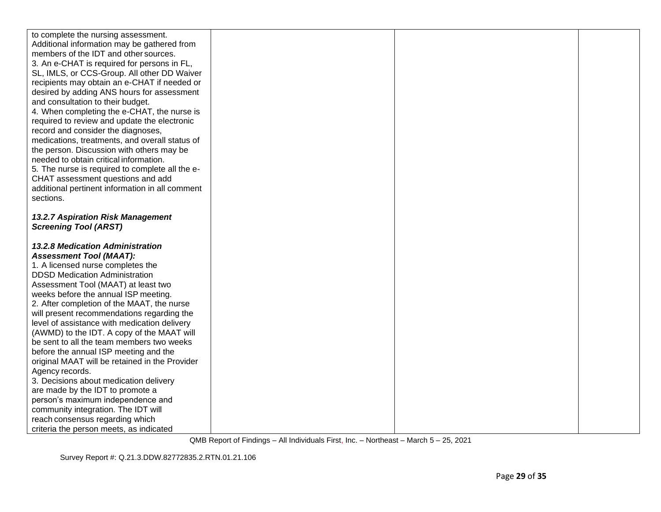| to complete the nursing assessment.                                        |  |  |
|----------------------------------------------------------------------------|--|--|
| Additional information may be gathered from                                |  |  |
| members of the IDT and other sources.                                      |  |  |
| 3. An e-CHAT is required for persons in FL,                                |  |  |
| SL, IMLS, or CCS-Group. All other DD Waiver                                |  |  |
| recipients may obtain an e-CHAT if needed or                               |  |  |
| desired by adding ANS hours for assessment                                 |  |  |
| and consultation to their budget.                                          |  |  |
| 4. When completing the e-CHAT, the nurse is                                |  |  |
| required to review and update the electronic                               |  |  |
| record and consider the diagnoses,                                         |  |  |
| medications, treatments, and overall status of                             |  |  |
| the person. Discussion with others may be                                  |  |  |
| needed to obtain critical information.                                     |  |  |
| 5. The nurse is required to complete all the e-                            |  |  |
| CHAT assessment questions and add                                          |  |  |
| additional pertinent information in all comment                            |  |  |
| sections.                                                                  |  |  |
|                                                                            |  |  |
| 13.2.7 Aspiration Risk Management                                          |  |  |
| <b>Screening Tool (ARST)</b>                                               |  |  |
|                                                                            |  |  |
| <b>13.2.8 Medication Administration</b>                                    |  |  |
| <b>Assessment Tool (MAAT):</b>                                             |  |  |
| 1. A licensed nurse completes the                                          |  |  |
| <b>DDSD Medication Administration</b>                                      |  |  |
| Assessment Tool (MAAT) at least two                                        |  |  |
| weeks before the annual ISP meeting.                                       |  |  |
|                                                                            |  |  |
| 2. After completion of the MAAT, the nurse                                 |  |  |
| will present recommendations regarding the                                 |  |  |
| level of assistance with medication delivery                               |  |  |
| (AWMD) to the IDT. A copy of the MAAT will                                 |  |  |
| be sent to all the team members two weeks                                  |  |  |
| before the annual ISP meeting and the                                      |  |  |
| original MAAT will be retained in the Provider                             |  |  |
| Agency records.                                                            |  |  |
| 3. Decisions about medication delivery                                     |  |  |
| are made by the IDT to promote a                                           |  |  |
| person's maximum independence and                                          |  |  |
| community integration. The IDT will                                        |  |  |
| reach consensus regarding which<br>criteria the person meets, as indicated |  |  |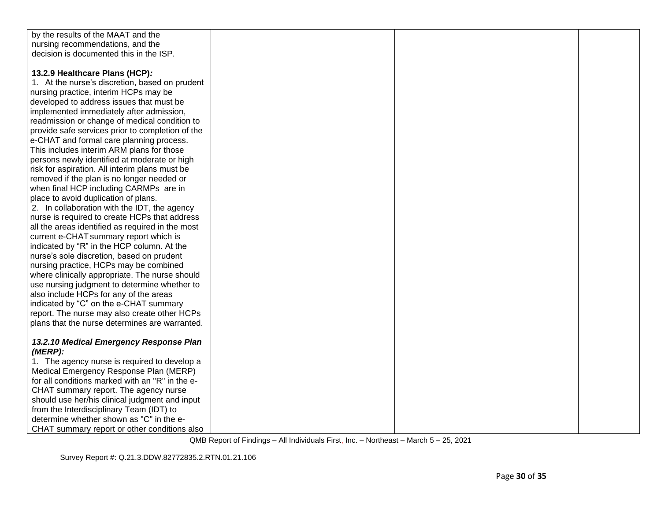| by the results of the MAAT and the               |  |  |
|--------------------------------------------------|--|--|
| nursing recommendations, and the                 |  |  |
| decision is documented this in the ISP.          |  |  |
|                                                  |  |  |
| 13.2.9 Healthcare Plans (HCP):                   |  |  |
| 1. At the nurse's discretion, based on prudent   |  |  |
| nursing practice, interim HCPs may be            |  |  |
| developed to address issues that must be         |  |  |
| implemented immediately after admission,         |  |  |
| readmission or change of medical condition to    |  |  |
| provide safe services prior to completion of the |  |  |
| e-CHAT and formal care planning process.         |  |  |
| This includes interim ARM plans for those        |  |  |
| persons newly identified at moderate or high     |  |  |
| risk for aspiration. All interim plans must be   |  |  |
| removed if the plan is no longer needed or       |  |  |
| when final HCP including CARMPs are in           |  |  |
| place to avoid duplication of plans.             |  |  |
| 2. In collaboration with the IDT, the agency     |  |  |
| nurse is required to create HCPs that address    |  |  |
| all the areas identified as required in the most |  |  |
| current e-CHAT summary report which is           |  |  |
| indicated by "R" in the HCP column. At the       |  |  |
| nurse's sole discretion, based on prudent        |  |  |
| nursing practice, HCPs may be combined           |  |  |
| where clinically appropriate. The nurse should   |  |  |
| use nursing judgment to determine whether to     |  |  |
| also include HCPs for any of the areas           |  |  |
| indicated by "C" on the e-CHAT summary           |  |  |
| report. The nurse may also create other HCPs     |  |  |
| plans that the nurse determines are warranted.   |  |  |
|                                                  |  |  |
| 13.2.10 Medical Emergency Response Plan          |  |  |
| (MERP):                                          |  |  |
| 1. The agency nurse is required to develop a     |  |  |
| Medical Emergency Response Plan (MERP)           |  |  |
| for all conditions marked with an "R" in the e-  |  |  |
| CHAT summary report. The agency nurse            |  |  |
| should use her/his clinical judgment and input   |  |  |
| from the Interdisciplinary Team (IDT) to         |  |  |
| determine whether shown as "C" in the e-         |  |  |
| CHAT summary report or other conditions also     |  |  |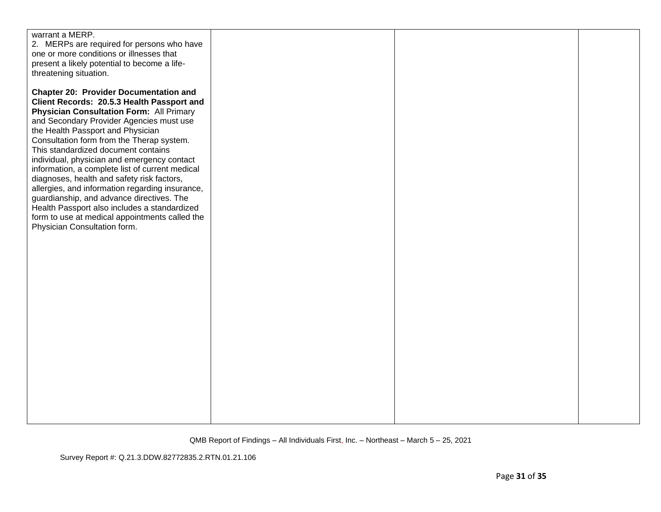| warrant a MERP.<br>2. MERPs are required for persons who have<br>one or more conditions or illnesses that<br>present a likely potential to become a life-<br>threatening situation.                                                                                                                                                                                                                                                                                                                                                                                                                                                                                                                   |  |  |
|-------------------------------------------------------------------------------------------------------------------------------------------------------------------------------------------------------------------------------------------------------------------------------------------------------------------------------------------------------------------------------------------------------------------------------------------------------------------------------------------------------------------------------------------------------------------------------------------------------------------------------------------------------------------------------------------------------|--|--|
| <b>Chapter 20: Provider Documentation and</b><br>Client Records: 20.5.3 Health Passport and<br><b>Physician Consultation Form: All Primary</b><br>and Secondary Provider Agencies must use<br>the Health Passport and Physician<br>Consultation form from the Therap system.<br>This standardized document contains<br>individual, physician and emergency contact<br>information, a complete list of current medical<br>diagnoses, health and safety risk factors,<br>allergies, and information regarding insurance,<br>guardianship, and advance directives. The<br>Health Passport also includes a standardized<br>form to use at medical appointments called the<br>Physician Consultation form. |  |  |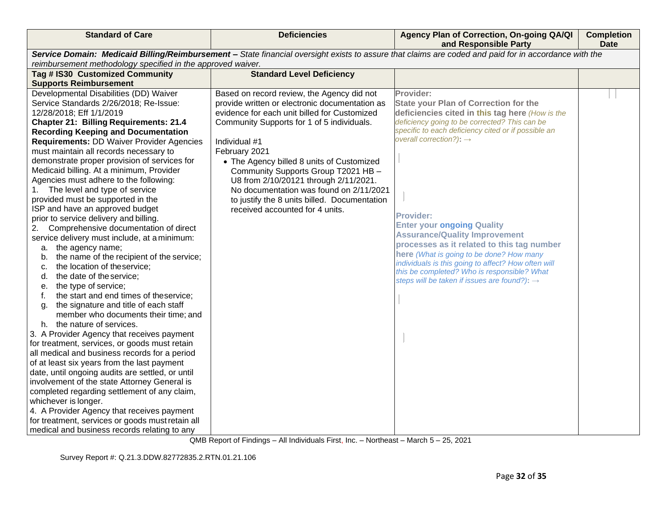| <b>Standard of Care</b>                                                                     | <b>Deficiencies</b>                            | Agency Plan of Correction, On-going QA/QI<br>and Responsible Party                                                                                    | <b>Completion</b><br><b>Date</b> |
|---------------------------------------------------------------------------------------------|------------------------------------------------|-------------------------------------------------------------------------------------------------------------------------------------------------------|----------------------------------|
|                                                                                             |                                                | Service Domain: Medicaid Billing/Reimbursement - State financial oversight exists to assure that claims are coded and paid for in accordance with the |                                  |
| reimbursement methodology specified in the approved waiver.                                 |                                                |                                                                                                                                                       |                                  |
| Tag # IS30 Customized Community                                                             | <b>Standard Level Deficiency</b>               |                                                                                                                                                       |                                  |
| <b>Supports Reimbursement</b>                                                               |                                                |                                                                                                                                                       |                                  |
| Developmental Disabilities (DD) Waiver                                                      | Based on record review, the Agency did not     | Provider:                                                                                                                                             |                                  |
| Service Standards 2/26/2018; Re-Issue:                                                      | provide written or electronic documentation as | <b>State your Plan of Correction for the</b>                                                                                                          |                                  |
| 12/28/2018; Eff 1/1/2019                                                                    | evidence for each unit billed for Customized   | deficiencies cited in this tag here (How is the<br>deficiency going to be corrected? This can be                                                      |                                  |
| <b>Chapter 21: Billing Requirements: 21.4</b><br><b>Recording Keeping and Documentation</b> | Community Supports for 1 of 5 individuals.     | specific to each deficiency cited or if possible an                                                                                                   |                                  |
| <b>Requirements: DD Waiver Provider Agencies</b>                                            | Individual #1                                  | overall correction?): $\rightarrow$                                                                                                                   |                                  |
| must maintain all records necessary to                                                      | February 2021                                  |                                                                                                                                                       |                                  |
| demonstrate proper provision of services for                                                | • The Agency billed 8 units of Customized      |                                                                                                                                                       |                                  |
| Medicaid billing. At a minimum, Provider                                                    | Community Supports Group T2021 HB -            |                                                                                                                                                       |                                  |
| Agencies must adhere to the following:                                                      | U8 from 2/10/20121 through 2/11/2021.          |                                                                                                                                                       |                                  |
| 1. The level and type of service                                                            | No documentation was found on 2/11/2021        |                                                                                                                                                       |                                  |
| provided must be supported in the                                                           | to justify the 8 units billed. Documentation   |                                                                                                                                                       |                                  |
| ISP and have an approved budget                                                             | received accounted for 4 units.                |                                                                                                                                                       |                                  |
| prior to service delivery and billing.                                                      |                                                | <b>Provider:</b>                                                                                                                                      |                                  |
| Comprehensive documentation of direct<br>2.                                                 |                                                | <b>Enter your ongoing Quality</b>                                                                                                                     |                                  |
| service delivery must include, at a minimum:                                                |                                                | <b>Assurance/Quality Improvement</b><br>processes as it related to this tag number                                                                    |                                  |
| a. the agency name;                                                                         |                                                | here (What is going to be done? How many                                                                                                              |                                  |
| the name of the recipient of the service;<br>b.                                             |                                                | individuals is this going to affect? How often will                                                                                                   |                                  |
| the location of theservice;<br>c.                                                           |                                                | this be completed? Who is responsible? What                                                                                                           |                                  |
| the date of the service;<br>d.                                                              |                                                | steps will be taken if issues are found?): $\rightarrow$                                                                                              |                                  |
| the type of service;<br>е.                                                                  |                                                |                                                                                                                                                       |                                  |
| the start and end times of theservice;<br>f.<br>the signature and title of each staff       |                                                |                                                                                                                                                       |                                  |
| g.<br>member who documents their time; and                                                  |                                                |                                                                                                                                                       |                                  |
| h. the nature of services.                                                                  |                                                |                                                                                                                                                       |                                  |
| 3. A Provider Agency that receives payment                                                  |                                                |                                                                                                                                                       |                                  |
| for treatment, services, or goods must retain                                               |                                                |                                                                                                                                                       |                                  |
| all medical and business records for a period                                               |                                                |                                                                                                                                                       |                                  |
| of at least six years from the last payment                                                 |                                                |                                                                                                                                                       |                                  |
| date, until ongoing audits are settled, or until                                            |                                                |                                                                                                                                                       |                                  |
| involvement of the state Attorney General is                                                |                                                |                                                                                                                                                       |                                  |
| completed regarding settlement of any claim,                                                |                                                |                                                                                                                                                       |                                  |
| whichever is longer.                                                                        |                                                |                                                                                                                                                       |                                  |
| 4. A Provider Agency that receives payment                                                  |                                                |                                                                                                                                                       |                                  |
| for treatment, services or goods must retain all                                            |                                                |                                                                                                                                                       |                                  |
| medical and business records relating to any                                                |                                                |                                                                                                                                                       |                                  |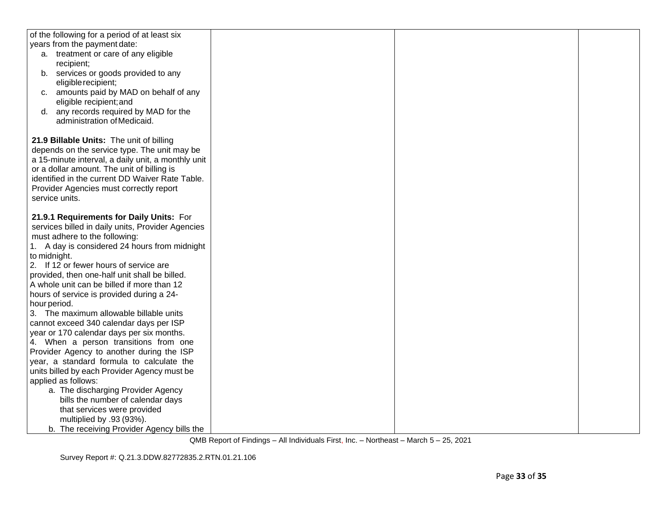| of the following for a period of at least six      |  |  |
|----------------------------------------------------|--|--|
| years from the payment date:                       |  |  |
| a. treatment or care of any eligible               |  |  |
| recipient;                                         |  |  |
| services or goods provided to any<br>b.            |  |  |
| eligible recipient;                                |  |  |
| amounts paid by MAD on behalf of any<br>$C_{1}$    |  |  |
| eligible recipient; and                            |  |  |
| any records required by MAD for the<br>d.          |  |  |
| administration of Medicaid.                        |  |  |
|                                                    |  |  |
| 21.9 Billable Units: The unit of billing           |  |  |
| depends on the service type. The unit may be       |  |  |
| a 15-minute interval, a daily unit, a monthly unit |  |  |
| or a dollar amount. The unit of billing is         |  |  |
| identified in the current DD Waiver Rate Table.    |  |  |
| Provider Agencies must correctly report            |  |  |
| service units.                                     |  |  |
|                                                    |  |  |
| 21.9.1 Requirements for Daily Units: For           |  |  |
| services billed in daily units, Provider Agencies  |  |  |
| must adhere to the following:                      |  |  |
| 1. A day is considered 24 hours from midnight      |  |  |
| to midnight.                                       |  |  |
| 2. If 12 or fewer hours of service are             |  |  |
| provided, then one-half unit shall be billed.      |  |  |
| A whole unit can be billed if more than 12         |  |  |
| hours of service is provided during a 24-          |  |  |
| hour period.                                       |  |  |
| 3. The maximum allowable billable units            |  |  |
| cannot exceed 340 calendar days per ISP            |  |  |
| year or 170 calendar days per six months.          |  |  |
| 4. When a person transitions from one              |  |  |
| Provider Agency to another during the ISP          |  |  |
| year, a standard formula to calculate the          |  |  |
|                                                    |  |  |
| units billed by each Provider Agency must be       |  |  |
| applied as follows:                                |  |  |
| a. The discharging Provider Agency                 |  |  |
| bills the number of calendar days                  |  |  |
| that services were provided                        |  |  |
| multiplied by .93 (93%).                           |  |  |
| b. The receiving Provider Agency bills the         |  |  |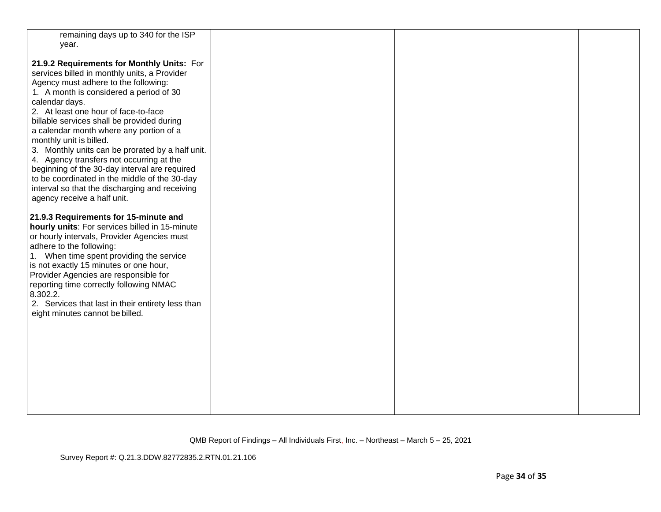| remaining days up to 340 for the ISP                                                                                                                                                                                                                                                                                                                                                                                                                                                                                                                                                                                                           |  |  |
|------------------------------------------------------------------------------------------------------------------------------------------------------------------------------------------------------------------------------------------------------------------------------------------------------------------------------------------------------------------------------------------------------------------------------------------------------------------------------------------------------------------------------------------------------------------------------------------------------------------------------------------------|--|--|
| year.                                                                                                                                                                                                                                                                                                                                                                                                                                                                                                                                                                                                                                          |  |  |
| 21.9.2 Requirements for Monthly Units: For<br>services billed in monthly units, a Provider<br>Agency must adhere to the following:<br>1. A month is considered a period of 30<br>calendar days.<br>2. At least one hour of face-to-face<br>billable services shall be provided during<br>a calendar month where any portion of a<br>monthly unit is billed.<br>3. Monthly units can be prorated by a half unit.<br>4. Agency transfers not occurring at the<br>beginning of the 30-day interval are required<br>to be coordinated in the middle of the 30-day<br>interval so that the discharging and receiving<br>agency receive a half unit. |  |  |
| 21.9.3 Requirements for 15-minute and<br>hourly units: For services billed in 15-minute<br>or hourly intervals, Provider Agencies must<br>adhere to the following:<br>1. When time spent providing the service<br>is not exactly 15 minutes or one hour,<br>Provider Agencies are responsible for<br>reporting time correctly following NMAC<br>8.302.2.<br>2. Services that last in their entirety less than<br>eight minutes cannot be billed.                                                                                                                                                                                               |  |  |

Survey Report #: Q.21.3.DDW.82772835.2.RTN.01.21.106